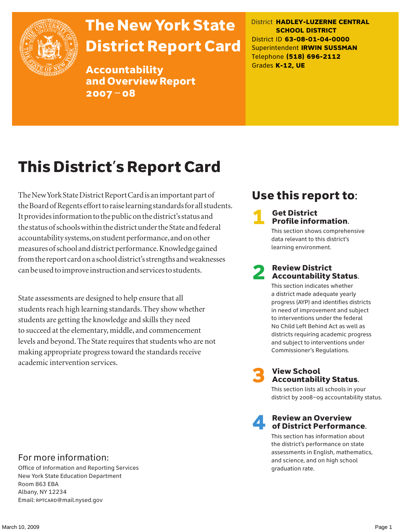

# The New York State District Report Card

Accountability and Overview Report 2007–08

District **HADLEY-LUZERNE CENTRAL SCHOOL DISTRICT** District ID **63-08-01-04-0000** Superintendent **IRWIN SUSSMAN** Telephone **(518) 696-2112** Grades **K-12, UE**

# This District's Report Card

The New York State District Report Card is an important part of the Board of Regents effort to raise learning standards for all students. It provides information to the public on the district's status and the status of schools within the district under the State and federal accountability systems, on student performance, and on other measures of school and district performance. Knowledge gained from the report card on a school district's strengths and weaknesses can be used to improve instruction and services to students.

State assessments are designed to help ensure that all students reach high learning standards. They show whether students are getting the knowledge and skills they need to succeed at the elementary, middle, and commencement levels and beyond. The State requires that students who are not making appropriate progress toward the standards receive academic intervention services.

## Use this report to:

#### **Get District** Profile information.

This section shows comprehensive data relevant to this district's learning environment.

#### **Review District** Accountability Status.

This section indicates whether a district made adequate yearly progress (AYP) and identifies districts in need of improvement and subject to interventions under the federal No Child Left Behind Act as well as districts requiring academic progress and subject to interventions under Commissioner's Regulations.



# **3** View School<br>Accountability Status.

This section lists all schools in your district by 2008–09 accountability status.

#### **Review an Overview** of District Performance.

This section has information about the district's performance on state assessments in English, mathematics, and science, and on high school graduation rate.

#### For more information:

Office of Information and Reporting Services New York State Education Department Room 863 EBA Albany, NY 12234 Email: RPTCARD@mail.nysed.gov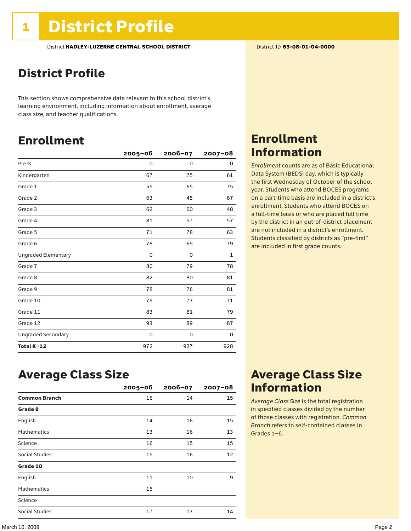### District Profile

This section shows comprehensive data relevant to this school district's learning environment, including information about enrollment, average class size, and teacher qualifications.

### Enrollment

|                            | $2005 - 06$ | $2006 - 07$ | $2007 - 08$  |
|----------------------------|-------------|-------------|--------------|
| Pre-K                      | 0           | 0           | 0            |
| Kindergarten               | 67          | 75          | 61           |
| Grade 1                    | 55          | 65          | 75           |
| Grade 2                    | 63          | 45          | 67           |
| Grade 3                    | 62          | 60          | 48           |
| Grade 4                    | 81          | 57          | 57           |
| Grade 5                    | 71          | 78          | 63           |
| Grade 6                    | 78          | 69          | 79           |
| <b>Ungraded Elementary</b> | 0           | 0           | $\mathbf{1}$ |
| Grade 7                    | 80          | 79          | 78           |
| Grade 8                    | 82          | 80          | 81           |
| Grade 9                    | 78          | 76          | 81           |
| Grade 10                   | 79          | 73          | 71           |
| Grade 11                   | 83          | 81          | 79           |
| Grade 12                   | 93          | 89          | 87           |
| <b>Ungraded Secondary</b>  | 0           | 0           | 0            |
| Total K-12                 | 972         | 927         | 928          |

### Enrollment Information

*Enrollment* counts are as of Basic Educational Data System (BEDS) day, which is typically the first Wednesday of October of the school year. Students who attend BOCES programs on a part-time basis are included in a district's enrollment. Students who attend BOCES on a full-time basis or who are placed full time by the district in an out-of-district placement are not included in a district's enrollment. Students classified by districts as "pre-first" are included in first grade counts.

#### Average Class Size

|                       | $2005 - 06$ | $2006 - 07$ | $2007 - 08$ |
|-----------------------|-------------|-------------|-------------|
| <b>Common Branch</b>  | 16          | 14          | 15          |
| Grade 8               |             |             |             |
| English               | 14          | 16          | 15          |
| <b>Mathematics</b>    | 13          | 16          | 13          |
| Science               | 16          | 15          | 15          |
| <b>Social Studies</b> | 15          | 16          | 12          |
| Grade 10              |             |             |             |
| English               | 11          | 10          | 9           |
| <b>Mathematics</b>    | 15          |             |             |
| Science               |             |             |             |
| <b>Social Studies</b> | 17          | 13          | 14          |

### Average Class Size Information

*Average Class Size* is the total registration in specified classes divided by the number of those classes with registration. *Common Branch* refers to self-contained classes in Grades 1–6.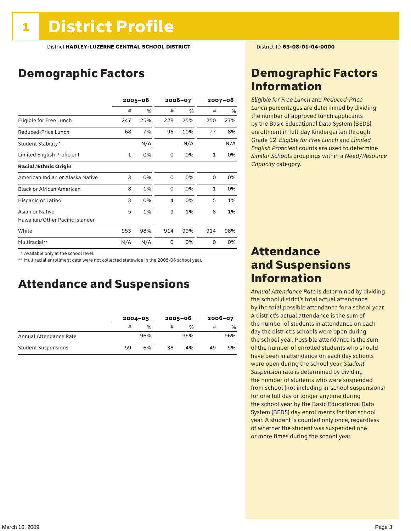### Demographic Factors

|                                  |     | $2005 - 06$ |     | 2006-07 | $2007 - 08$  |     |
|----------------------------------|-----|-------------|-----|---------|--------------|-----|
|                                  | #   | %           | #   | %       | #            | %   |
| Eligible for Free Lunch          | 247 | 25%         | 228 | 25%     | 250          | 27% |
| Reduced-Price Lunch              | 68  | 7%          | 96  | 10%     | 77           | 8%  |
| Student Stability*               |     | N/A         |     | N/A     |              | N/A |
| Limited English Proficient       | 1   | 0%          | 0   | 0%      | $\mathbf{1}$ | 0%  |
| <b>Racial/Ethnic Origin</b>      |     |             |     |         |              |     |
| American Indian or Alaska Native | 3   | 0%          | 0   | 0%      | 0            | 0%  |
| <b>Black or African American</b> | 8   | 1%          | 0   | 0%      | $\mathbf{1}$ | 0%  |
| Hispanic or Latino               | 3   | 0%          | 4   | 0%      | 5            | 1%  |
| Asian or Native                  | 5   | 1%          | 9   | 1%      | 8            | 1%  |
| Hawaiian/Other Pacific Islander  |     |             |     |         |              |     |
| White                            | 953 | 98%         | 914 | 99%     | 914          | 98% |
| Multiracial**                    | N/A | N/A         | 0   | 0%      | 0            | 0%  |

\* Available only at the school level.

\*\* Multiracial enrollment data were not collected statewide in the 2005-06 school year.

#### Attendance and Suspensions

|                            | $2004 - 05$ |               | $2005 - 06$ |               | $2006 - 07$ |     |
|----------------------------|-------------|---------------|-------------|---------------|-------------|-----|
|                            | #           | $\frac{0}{0}$ |             | $\frac{0}{0}$ | #           | %   |
| Annual Attendance Rate     |             | 96%           |             | 95%           |             | 96% |
| <b>Student Suspensions</b> | 59          | 6%            | 38          | 4%            | 49          | 5%  |

### Demographic Factors Information

*Eligible for Free Lunch* and *Reduced*-*Price Lunch* percentages are determined by dividing the number of approved lunch applicants by the Basic Educational Data System (BEDS) enrollment in full-day Kindergarten through Grade 12. *Eligible for Free Lunch* and *Limited English Proficient* counts are used to determine *Similar Schools* groupings within a *Need*/*Resource Capacity* category.

### Attendance and Suspensions Information

*Annual Attendance Rate* is determined by dividing the school district's total actual attendance by the total possible attendance for a school year. A district's actual attendance is the sum of the number of students in attendance on each day the district's schools were open during the school year. Possible attendance is the sum of the number of enrolled students who should have been in attendance on each day schools were open during the school year. *Student Suspension* rate is determined by dividing the number of students who were suspended from school (not including in-school suspensions) for one full day or longer anytime during the school year by the Basic Educational Data System (BEDS) day enrollments for that school year. A student is counted only once, regardless of whether the student was suspended one or more times during the school year.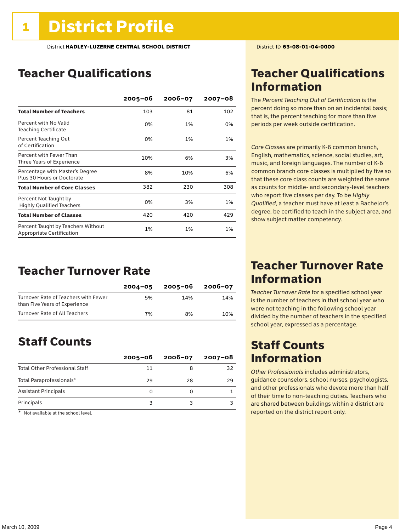### Teacher Qualifications

|                                                                        | $2005 - 06$ | $2006 - 07$ | $2007 - 08$ |
|------------------------------------------------------------------------|-------------|-------------|-------------|
| <b>Total Number of Teachers</b>                                        | 103         | 81          | 102         |
| Percent with No Valid<br><b>Teaching Certificate</b>                   | 0%          | 1%          | 0%          |
| Percent Teaching Out<br>of Certification                               | 0%          | 1%          | 1%          |
| Percent with Fewer Than<br>Three Years of Experience                   | 10%         | 6%          | 3%          |
| Percentage with Master's Degree<br>Plus 30 Hours or Doctorate          | 8%          | 10%         | 6%          |
| <b>Total Number of Core Classes</b>                                    | 382         | 230         | 308         |
| Percent Not Taught by<br><b>Highly Qualified Teachers</b>              | 0%          | 3%          | 1%          |
| <b>Total Number of Classes</b>                                         | 420         | 420         | 429         |
| Percent Taught by Teachers Without<br><b>Appropriate Certification</b> | 1%          | 1%          | 1%          |

### Teacher Turnover Rate

|                                                                       | $2004 - 05$ | 2005-06 | 2006-07 |
|-----------------------------------------------------------------------|-------------|---------|---------|
| Turnover Rate of Teachers with Fewer<br>than Five Years of Experience | 5%          | 14%     | 14%     |
| Turnover Rate of All Teachers                                         | 7%          | 8%      | 10%     |

### Staff Counts

|                                       | $2005 - 06$ | $2006 - 07$ | $2007 - 08$ |
|---------------------------------------|-------------|-------------|-------------|
| <b>Total Other Professional Staff</b> | 11          |             | 32          |
| Total Paraprofessionals*              | 29          | 28          | 29          |
| <b>Assistant Principals</b>           |             |             |             |
| Principals                            |             |             |             |

 $*$  Not available at the school level.

### Teacher Qualifications Information

The *Percent Teaching Out of Certification* is the percent doing so more than on an incidental basis; that is, the percent teaching for more than five periods per week outside certification.

*Core Classes* are primarily K-6 common branch, English, mathematics, science, social studies, art, music, and foreign languages. The number of K-6 common branch core classes is multiplied by five so that these core class counts are weighted the same as counts for middle- and secondary-level teachers who report five classes per day. To be *Highly Qualified*, a teacher must have at least a Bachelor's degree, be certified to teach in the subject area, and show subject matter competency.

### Teacher Turnover Rate Information

*Teacher Turnover Rate* for a specified school year is the number of teachers in that school year who were not teaching in the following school year divided by the number of teachers in the specified school year, expressed as a percentage.

### Staff Counts Information

*Other Professionals* includes administrators, guidance counselors, school nurses, psychologists, and other professionals who devote more than half of their time to non-teaching duties. Teachers who are shared between buildings within a district are reported on the district report only.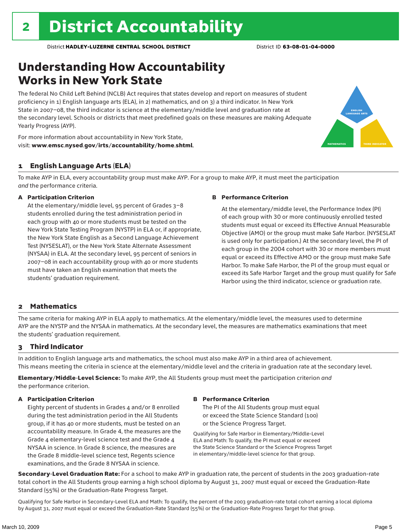### Understanding How Accountability Works in New York State

The federal No Child Left Behind (NCLB) Act requires that states develop and report on measures of student proficiency in 1) English language arts (ELA), in 2) mathematics, and on 3) a third indicator. In New York State in 2007–08, the third indicator is science at the elementary/middle level and graduation rate at the secondary level. Schools or districts that meet predefined goals on these measures are making Adequate Yearly Progress (AYP).



For more information about accountability in New York State, visit: www.emsc.nysed.gov/irts/accountability/home.shtml.

#### 1 English Language Arts (ELA)

To make AYP in ELA, every accountability group must make AYP. For a group to make AYP, it must meet the participation *and* the performance criteria.

#### A Participation Criterion

At the elementary/middle level, 95 percent of Grades 3–8 students enrolled during the test administration period in each group with 40 or more students must be tested on the New York State Testing Program (NYSTP) in ELA or, if appropriate, the New York State English as a Second Language Achievement Test (NYSESLAT), or the New York State Alternate Assessment (NYSAA) in ELA. At the secondary level, 95 percent of seniors in 2007–08 in each accountability group with 40 or more students must have taken an English examination that meets the students' graduation requirement.

#### B Performance Criterion

At the elementary/middle level, the Performance Index (PI) of each group with 30 or more continuously enrolled tested students must equal or exceed its Effective Annual Measurable Objective (AMO) or the group must make Safe Harbor. (NYSESLAT is used only for participation.) At the secondary level, the PI of each group in the 2004 cohort with 30 or more members must equal or exceed its Effective AMO or the group must make Safe Harbor. To make Safe Harbor, the PI of the group must equal or exceed its Safe Harbor Target and the group must qualify for Safe Harbor using the third indicator, science or graduation rate.

#### 2 Mathematics

The same criteria for making AYP in ELA apply to mathematics. At the elementary/middle level, the measures used to determine AYP are the NYSTP and the NYSAA in mathematics. At the secondary level, the measures are mathematics examinations that meet the students' graduation requirement.

#### 3 Third Indicator

In addition to English language arts and mathematics, the school must also make AYP in a third area of achievement. This means meeting the criteria in science at the elementary/middle level and the criteria in graduation rate at the secondary level.

Elementary/Middle-Level Science: To make AYP, the All Students group must meet the participation criterion *and* the performance criterion.

#### A Participation Criterion

Eighty percent of students in Grades 4 and/or 8 enrolled during the test administration period in the All Students group, if it has 40 or more students, must be tested on an accountability measure. In Grade 4, the measures are the Grade 4 elementary-level science test and the Grade 4 NYSAA in science. In Grade 8 science, the measures are the Grade 8 middle-level science test, Regents science examinations, and the Grade 8 NYSAA in science.

#### B Performance Criterion

The PI of the All Students group must equal or exceed the State Science Standard (100) or the Science Progress Target.

Qualifying for Safe Harbor in Elementary/Middle-Level ELA and Math: To qualify, the PI must equal or exceed the State Science Standard or the Science Progress Target in elementary/middle-level science for that group.

Secondary-Level Graduation Rate: For a school to make AYP in graduation rate, the percent of students in the 2003 graduation-rate total cohort in the All Students group earning a high school diploma by August 31, 2007 must equal or exceed the Graduation-Rate Standard (55%) or the Graduation-Rate Progress Target.

Qualifying for Safe Harbor in Secondary-Level ELA and Math: To qualify, the percent of the 2003 graduation-rate total cohort earning a local diploma by August 31, 2007 must equal or exceed the Graduation-Rate Standard (55%) or the Graduation-Rate Progress Target for that group.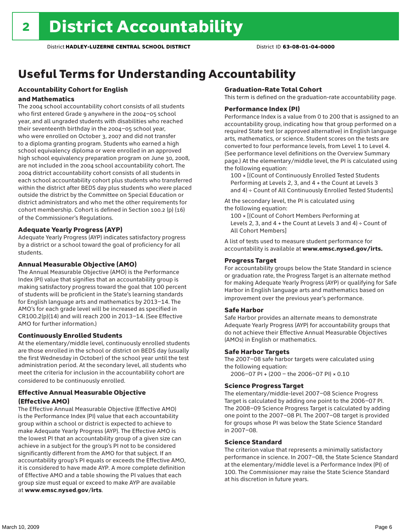## Useful Terms for Understanding Accountability

### Accountability Cohort for English

#### and Mathematics

The 2004 school accountability cohort consists of all students who first entered Grade 9 anywhere in the 2004–05 school year, and all ungraded students with disabilities who reached their seventeenth birthday in the 2004–05 school year, who were enrolled on October 3, 2007 and did not transfer to a diploma granting program. Students who earned a high school equivalency diploma or were enrolled in an approved high school equivalency preparation program on June 30, 2008, are not included in the 2004 school accountability cohort. The 2004 district accountability cohort consists of all students in each school accountability cohort plus students who transferred within the district after BEDS day plus students who were placed outside the district by the Committee on Special Education or district administrators and who met the other requirements for cohort membership. Cohort is defined in Section 100.2 (p) (16) of the Commissioner's Regulations.

#### Adequate Yearly Progress (AYP)

Adequate Yearly Progress (AYP) indicates satisfactory progress by a district or a school toward the goal of proficiency for all students.

#### Annual Measurable Objective (AMO)

The Annual Measurable Objective (AMO) is the Performance Index (PI) value that signifies that an accountability group is making satisfactory progress toward the goal that 100 percent of students will be proficient in the State's learning standards for English language arts and mathematics by 2013–14. The AMO's for each grade level will be increased as specified in CR100.2(p)(14) and will reach 200 in 2013–14. (See Effective AMO for further information.)

#### Continuously Enrolled Students

At the elementary/middle level, continuously enrolled students are those enrolled in the school or district on BEDS day (usually the first Wednesday in October) of the school year until the test administration period. At the secondary level, all students who meet the criteria for inclusion in the accountability cohort are considered to be continuously enrolled.

#### Effective Annual Measurable Objective (Effective AMO)

The Effective Annual Measurable Objective (Effective AMO) is the Performance Index (PI) value that each accountability group within a school or district is expected to achieve to make Adequate Yearly Progress (AYP). The Effective AMO is the lowest PI that an accountability group of a given size can achieve in a subject for the group's PI not to be considered significantly different from the AMO for that subject. If an accountability group's PI equals or exceeds the Effective AMO, it is considered to have made AYP. A more complete definition of Effective AMO and a table showing the PI values that each group size must equal or exceed to make AYP are available at www.emsc.nysed.gov/irts.

#### Graduation-Rate Total Cohort

This term is defined on the graduation-rate accountability page.

#### Performance Index (PI)

Performance Index is a value from 0 to 200 that is assigned to an accountability group, indicating how that group performed on a required State test (or approved alternative) in English language arts, mathematics, or science. Student scores on the tests are converted to four performance levels, from Level 1 to Level 4. (See performance level definitions on the Overview Summary page.) At the elementary/middle level, the PI is calculated using the following equation:

100 × [(Count of Continuously Enrolled Tested Students Performing at Levels 2, 3, and 4 + the Count at Levels 3 and 4) ÷ Count of All Continuously Enrolled Tested Students]

At the secondary level, the PI is calculated using the following equation:

100 × [(Count of Cohort Members Performing at Levels 2, 3, and  $4 +$  the Count at Levels 3 and  $4) \div$  Count of All Cohort Members]

A list of tests used to measure student performance for accountability is available at www.emsc.nysed.gov/irts.

#### Progress Target

For accountability groups below the State Standard in science or graduation rate, the Progress Target is an alternate method for making Adequate Yearly Progress (AYP) or qualifying for Safe Harbor in English language arts and mathematics based on improvement over the previous year's performance.

#### Safe Harbor

Safe Harbor provides an alternate means to demonstrate Adequate Yearly Progress (AYP) for accountability groups that do not achieve their Effective Annual Measurable Objectives (AMOs) in English or mathematics.

#### Safe Harbor Targets

The 2007–08 safe harbor targets were calculated using the following equation:

2006–07 PI + (200 – the 2006–07 PI) × 0.10

#### Science Progress Target

The elementary/middle-level 2007–08 Science Progress Target is calculated by adding one point to the 2006–07 PI. The 2008–09 Science Progress Target is calculated by adding one point to the 2007–08 PI. The 2007–08 target is provided for groups whose PI was below the State Science Standard in 2007–08.

#### Science Standard

The criterion value that represents a minimally satisfactory performance in science. In 2007–08, the State Science Standard at the elementary/middle level is a Performance Index (PI) of 100. The Commissioner may raise the State Science Standard at his discretion in future years.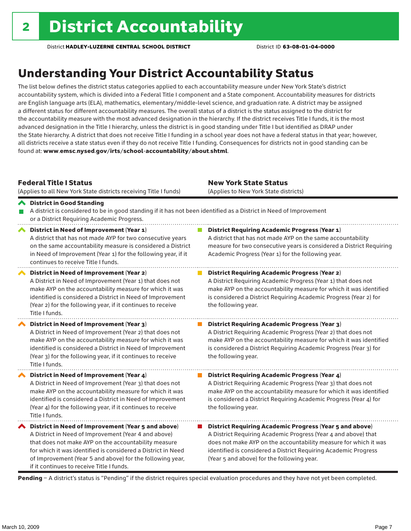## Understanding Your District Accountability Status

The list below defines the district status categories applied to each accountability measure under New York State's district accountability system, which is divided into a Federal Title I component and a State component. Accountability measures for districts are English language arts (ELA), mathematics, elementary/middle-level science, and graduation rate. A district may be assigned a different status for different accountability measures. The overall status of a district is the status assigned to the district for the accountability measure with the most advanced designation in the hierarchy. If the district receives Title I funds, it is the most advanced designation in the Title I hierarchy, unless the district is in good standing under Title I but identified as DRAP under the State hierarchy. A district that does not receive Title I funding in a school year does not have a federal status in that year; however, all districts receive a state status even if they do not receive Title I funding. Consequences for districts not in good standing can be found at: www.emsc.nysed.gov/irts/school-accountability/about.shtml.

#### Federal Title I Status

(Applies to all New York State districts receiving Title I funds)

New York State Status (Applies to New York State districts)

#### District in Good Standing A district is considered to be in good standing if it has not been identified as a District in Need of Improvement P. or a District Requiring Academic Progress. ◆ District in Need of Improvement (Year 1) **District Requiring Academic Progress (Year 1)** A district that has not made AYP for two consecutive years A district that has not made AYP on the same accountability on the same accountability measure is considered a District measure for two consecutive years is considered a District Requiring

|                            | in Need of Improvement (Year 1) for the following year, if it<br>continues to receive Title I funds.                                                                                                                                                                                                                                         | Academic Progress (Year 1) for the following year.                                                                                                                                                                                                                                                                    |
|----------------------------|----------------------------------------------------------------------------------------------------------------------------------------------------------------------------------------------------------------------------------------------------------------------------------------------------------------------------------------------|-----------------------------------------------------------------------------------------------------------------------------------------------------------------------------------------------------------------------------------------------------------------------------------------------------------------------|
| $\boldsymbol{\mathcal{L}}$ | District in Need of Improvement (Year 2)<br>A District in Need of Improvement (Year 1) that does not<br>make AYP on the accountability measure for which it was<br>identified is considered a District in Need of Improvement<br>(Year 2) for the following year, if it continues to receive<br>Title I funds.                               | <b>District Requiring Academic Progress (Year 2)</b><br>A District Requiring Academic Progress (Year 1) that does not<br>make AYP on the accountability measure for which it was identified<br>is considered a District Requiring Academic Progress (Year 2) for<br>the following year.                               |
| $\boldsymbol{\sim}$        | District in Need of Improvement (Year 3)<br>A District in Need of Improvement (Year 2) that does not<br>make AYP on the accountability measure for which it was<br>identified is considered a District in Need of Improvement<br>(Year 3) for the following year, if it continues to receive<br>Title I funds.                               | <b>District Requiring Academic Progress (Year 3)</b><br>A District Requiring Academic Progress (Year 2) that does not<br>make AYP on the accountability measure for which it was identified<br>is considered a District Requiring Academic Progress (Year 3) for<br>the following year.                               |
| $\boldsymbol{\sim}$        | District in Need of Improvement (Year 4)<br>A District in Need of Improvement (Year 3) that does not<br>make AYP on the accountability measure for which it was<br>identified is considered a District in Need of Improvement<br>(Year 4) for the following year, if it continues to receive<br>Title I funds.                               | District Requiring Academic Progress (Year 4)<br>A District Requiring Academic Progress (Year 3) that does not<br>make AYP on the accountability measure for which it was identified<br>is considered a District Requiring Academic Progress (Year 4) for<br>the following year.                                      |
|                            | District in Need of Improvement (Year 5 and above)<br>A District in Need of Improvement (Year 4 and above)<br>that does not make AYP on the accountability measure<br>for which it was identified is considered a District in Need<br>of Improvement (Year 5 and above) for the following year,<br>if it continues to receive Title I funds. | <b>District Requiring Academic Progress (Year 5 and above)</b><br>A District Requiring Academic Progress (Year 4 and above) that<br>does not make AYP on the accountability measure for which it was<br>identified is considered a District Requiring Academic Progress<br>(Year 5 and above) for the following year. |

Pending - A district's status is "Pending" if the district requires special evaluation procedures and they have not yet been completed.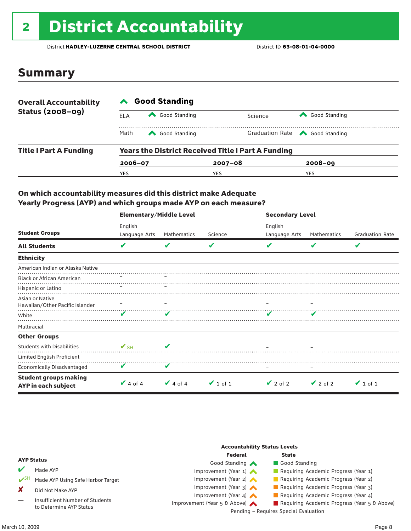# <sup>2</sup> District Accountability

District **HADLEY-LUZERNE CENTRAL SCHOOL DISTRICT** District ID **63-08-01-04-0000**

### Summary

| <b>Overall Accountability</b> | <b>Good Standing</b>                                      |               |             |         |                                       |  |  |
|-------------------------------|-----------------------------------------------------------|---------------|-------------|---------|---------------------------------------|--|--|
| <b>Status (2008-09)</b>       | ELA                                                       | Good Standing |             | Science | Good Standing                         |  |  |
|                               | Math                                                      | Good Standing |             |         | Graduation Rate <a> Good Standing</a> |  |  |
| <b>Title I Part A Funding</b> | <b>Years the District Received Title I Part A Funding</b> |               |             |         |                                       |  |  |
|                               | $2006 - 07$                                               |               | $2007 - 08$ |         | $2008 - 09$                           |  |  |
|                               | YES                                                       |               | <b>YES</b>  |         | <b>YES</b>                            |  |  |

#### On which accountability measures did this district make Adequate Yearly Progress (AYP) and which groups made AYP on each measure?

|                                                     | <b>Elementary/Middle Level</b> |               |               | <b>Secondary Level</b> |               |                        |  |
|-----------------------------------------------------|--------------------------------|---------------|---------------|------------------------|---------------|------------------------|--|
|                                                     | English                        |               |               | English                |               |                        |  |
| <b>Student Groups</b>                               | Language Arts                  | Mathematics   | Science       | Language Arts          | Mathematics   | <b>Graduation Rate</b> |  |
| <b>All Students</b>                                 | V                              | v             | V             |                        | V             | V                      |  |
| <b>Ethnicity</b>                                    |                                |               |               |                        |               |                        |  |
| American Indian or Alaska Native                    |                                |               |               |                        |               |                        |  |
| <b>Black or African American</b>                    |                                |               |               |                        |               |                        |  |
| Hispanic or Latino                                  |                                |               |               |                        |               |                        |  |
| Asian or Native                                     |                                |               |               |                        |               |                        |  |
| Hawaiian/Other Pacific Islander                     |                                |               |               |                        |               |                        |  |
| White                                               | v                              |               |               |                        |               |                        |  |
| Multiracial                                         |                                |               |               |                        |               |                        |  |
| <b>Other Groups</b>                                 |                                |               |               |                        |               |                        |  |
| <b>Students with Disabilities</b>                   | $\mathbf{V}_{\text{SH}}$       | V             |               |                        |               |                        |  |
| Limited English Proficient                          |                                |               |               |                        |               |                        |  |
| <b>Economically Disadvantaged</b>                   | V                              | V             |               |                        |               |                        |  |
| <b>Student groups making</b><br>AYP in each subject | $\vee$ 4 of 4                  | $\vee$ 4 of 4 | $\vee$ 1 of 1 | $\vee$ 2 of 2          | $\vee$ 2 of 2 | $\vee$ 1 of 1          |  |

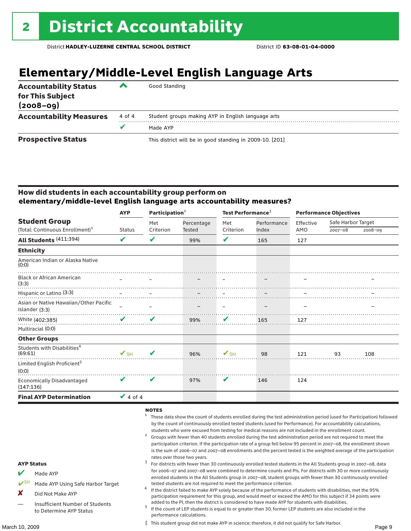### **Elementary/Middle-Level English Language Arts**

| <b>Accountability Status</b><br>for This Subject<br>$(2008 - 09)$ | ▰      | Good Standing                                            |
|-------------------------------------------------------------------|--------|----------------------------------------------------------|
| <b>Accountability Measures</b>                                    | 4 of 4 | Student groups making AYP in English language arts       |
|                                                                   |        | Made AYP                                                 |
| <b>Prospective Status</b>                                         |        | This district will be in good standing in 2009-10. [201] |

#### How did students in each accountability group perform on **elementary/middle-level English language arts accountability measures?**

|                                                          | Participation $2$<br><b>AYP</b> |                            | Test Performance <sup>3</sup> |                          | <b>Performance Objectives</b> |           |                    |             |
|----------------------------------------------------------|---------------------------------|----------------------------|-------------------------------|--------------------------|-------------------------------|-----------|--------------------|-------------|
| <b>Student Group</b>                                     |                                 | Met                        | Percentage                    | Met                      | Performance                   | Effective | Safe Harbor Target |             |
| (Total: Continuous Enrollment) <sup>1</sup>              | <b>Status</b>                   | Criterion                  | <b>Tested</b>                 | Criterion                | Index                         | AMO       | 2007-08            | $2008 - 09$ |
| All Students (411:394)                                   | V                               | V                          | 99%                           | V                        | 165                           | 127       |                    |             |
| <b>Ethnicity</b>                                         |                                 |                            |                               |                          |                               |           |                    |             |
| American Indian or Alaska Native<br>(0:0)                |                                 |                            |                               |                          |                               |           |                    |             |
| <b>Black or African American</b><br>(3:3)                |                                 |                            |                               |                          |                               |           |                    |             |
| Hispanic or Latino (3:3)                                 |                                 |                            |                               |                          |                               |           |                    |             |
| Asian or Native Hawaiian/Other Pacific<br>Islander (3:3) |                                 |                            |                               |                          |                               |           |                    |             |
| White (402:385)                                          | V                               | V                          | 99%                           | V                        | 165                           | 127       |                    |             |
| Multiracial (0:0)                                        |                                 |                            |                               |                          |                               |           |                    |             |
| <b>Other Groups</b>                                      |                                 |                            |                               |                          |                               |           |                    |             |
| Students with Disabilities <sup>4</sup><br>(69:61)       | $\mathbf{V}_{\text{SH}}$        | $\boldsymbol{\mathcal{U}}$ | 96%                           | $\mathbf{V}_{\text{SH}}$ | 98                            | 121       | 93                 | 108         |
| Limited English Proficient <sup>5</sup><br>(0:0)         |                                 |                            |                               |                          |                               |           |                    |             |
| Economically Disadvantaged<br>(147:136)                  | V                               | ✔                          | 97%                           | V                        | 146                           | 124       |                    |             |
| <b>Final AYP Determination</b>                           | $\vee$ 4 of 4                   |                            |                               |                          |                               |           |                    |             |

#### NOTES

- <sup>1</sup> These data show the count of students enrolled during the test administration period (used for Participation) followed by the count of continuously enrolled tested students (used for Performance). For accountability calculations,
- students who were excused from testing for medical reasons are not included in the enrollment count.<br>Groups with fewer than 40 students enrolled during the test administration period are not required to meet the participation criterion. If the participation rate of a group fell below 95 percent in 2007–08, the enrollment shown is the sum of 2006–07 and 2007–08 enrollments and the percent tested is the weighted average of the participation rates over those two years.<br><sup>3</sup> For districts with fewer than 30 continuously enrolled tested students in the All Students group in 2007–08, data
- for 2006–07 and 2007–08 were combined to determine counts and PIs. For districts with 30 or more continuously enrolled students in the All Students group in 2007–08, student groups with fewer than 30 continuously enrolled

‡ This student group did not make AYP in science; therefore, it did not qualify for Safe Harbor.

- tested students are not required to meet the performance criterion. <sup>4</sup> If the district failed to make AYP solely because of the performance of students with disabilities, met the 95% participation requirement for this group, and would meet or exceed the AMO for this subject if 34 points were
- added to the PI, then the district is considered to have made AYP for students with disabilities.<br><sup>5</sup> If the count of LEP students is equal to or greater than 30, former LEP students are also included in the performance calculations.

AYP Status

Made AYP

X Did Not Make AYP

Made AYP Using Safe Harbor Target

Insufficient Number of Students to Determine AYP Status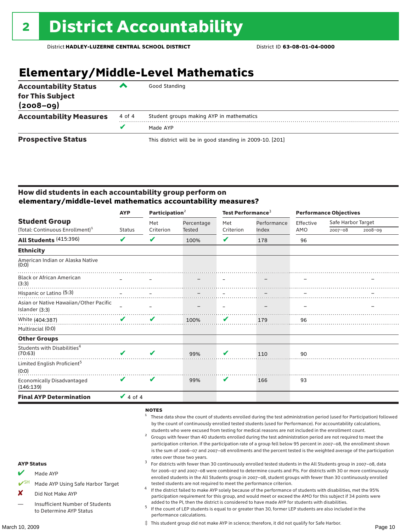## **Elementary/Middle-Level Mathematics**

| <b>Accountability Status</b><br>for This Subject<br>$(2008 - 09)$ | ▰      | Good Standing                                            |  |  |  |  |
|-------------------------------------------------------------------|--------|----------------------------------------------------------|--|--|--|--|
| <b>Accountability Measures</b>                                    | 4 of 4 | Student groups making AYP in mathematics                 |  |  |  |  |
|                                                                   | v      | Made AYP                                                 |  |  |  |  |
| <b>Prospective Status</b>                                         |        | This district will be in good standing in 2009-10. [201] |  |  |  |  |

#### How did students in each accountability group perform on **elementary/middle-level mathematics accountability measures?**

|                                                          | <b>AYP</b>      | Participation $2$ |               | Test Performance <sup>3</sup> |             | <b>Performance Objectives</b> |                    |             |
|----------------------------------------------------------|-----------------|-------------------|---------------|-------------------------------|-------------|-------------------------------|--------------------|-------------|
| <b>Student Group</b>                                     |                 | Met               | Percentage    | Met                           | Performance | Effective                     | Safe Harbor Target |             |
| (Total: Continuous Enrollment) <sup>1</sup>              | <b>Status</b>   | Criterion         | <b>Tested</b> | Criterion                     | Index       | AMO                           | $2007 - 08$        | $2008 - 09$ |
| All Students (415:396)                                   | V               | ✔                 | 100%          | V                             | 178         | 96                            |                    |             |
| <b>Ethnicity</b>                                         |                 |                   |               |                               |             |                               |                    |             |
| American Indian or Alaska Native<br>(0:0)                |                 |                   |               |                               |             |                               |                    |             |
| <b>Black or African American</b><br>(3:3)                |                 |                   |               |                               |             |                               |                    |             |
| Hispanic or Latino (5:3)                                 |                 |                   |               |                               |             |                               |                    |             |
| Asian or Native Hawaiian/Other Pacific<br>Islander (3:3) |                 |                   |               |                               |             |                               |                    |             |
| White (404:387)                                          | ✔               | ✔                 | 100%          | V                             | 179         | 96                            |                    |             |
| Multiracial (0:0)                                        |                 |                   |               |                               |             |                               |                    |             |
| <b>Other Groups</b>                                      |                 |                   |               |                               |             |                               |                    |             |
| Students with Disabilities <sup>4</sup><br>(70:63)       | V               | ✔                 | 99%           | V                             | 110         | 90                            |                    |             |
| Limited English Proficient <sup>5</sup><br>(0:0)         |                 |                   |               |                               |             |                               |                    |             |
| Economically Disadvantaged<br>(146:139)                  | V               | V                 | 99%           | V                             | 166         | 93                            |                    |             |
| <b>Final AYP Determination</b>                           | $\sqrt{4}$ of 4 |                   |               |                               |             |                               |                    |             |

#### NOTES

- <sup>1</sup> These data show the count of students enrolled during the test administration period (used for Participation) followed by the count of continuously enrolled tested students (used for Performance). For accountability calculations,
- students who were excused from testing for medical reasons are not included in the enrollment count.<br>Groups with fewer than 40 students enrolled during the test administration period are not required to meet the participation criterion. If the participation rate of a group fell below 95 percent in 2007–08, the enrollment shown is the sum of 2006–07 and 2007–08 enrollments and the percent tested is the weighted average of the participation
- rates over those two years.<br><sup>3</sup> For districts with fewer than 30 continuously enrolled tested students in the All Students group in 2007–08, data for 2006–07 and 2007–08 were combined to determine counts and PIs. For districts with 30 or more continuously enrolled students in the All Students group in 2007–08, student groups with fewer than 30 continuously enrolled tested students are not required to meet the performance criterion. <sup>4</sup> If the district failed to make AYP solely because of the performance of students with disabilities, met the 95%
	- participation requirement for this group, and would meet or exceed the AMO for this subject if 34 points were
	- added to the PI, then the district is considered to have made AYP for students with disabilities.<br> $^5$  If the count of LEP students is equal to or greater than 30, former LEP students are also included in the performance calculations.

‡ This student group did not make AYP in science; therefore, it did not qualify for Safe Harbor.

AYP Status

Made AYP

X Did Not Make AYP

Made AYP Using Safe Harbor Target

Insufficient Number of Students to Determine AYP Status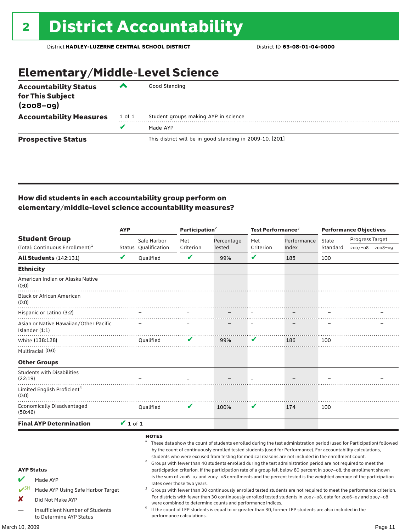### Elementary/Middle-Level Science

| <b>Accountability Status</b><br>for This Subject<br>$(2008 - 09)$ | ◚      | Good Standing                                            |  |  |  |  |  |
|-------------------------------------------------------------------|--------|----------------------------------------------------------|--|--|--|--|--|
| <b>Accountability Measures</b>                                    | 1 of 1 | Student groups making AYP in science                     |  |  |  |  |  |
|                                                                   | v      | Made AYP                                                 |  |  |  |  |  |
| <b>Prospective Status</b>                                         |        | This district will be in good standing in 2009-10. [201] |  |  |  |  |  |

#### How did students in each accountability group perform on elementary/middle-level science accountability measures?

|                                                                                                                                                                                   |               | <b>AYP</b>                                     |                                                          | Participation <sup>2</sup>                                 | Test Performance $^3$ |                                                                                                                                                                                                                                                                                                                                                                                                                                                                                                                                                                                                                                                                                                                                                                                                                                                                                                                                                                                                                                                                        | <b>Performance Objectives</b> |                 |             |
|-----------------------------------------------------------------------------------------------------------------------------------------------------------------------------------|---------------|------------------------------------------------|----------------------------------------------------------|------------------------------------------------------------|-----------------------|------------------------------------------------------------------------------------------------------------------------------------------------------------------------------------------------------------------------------------------------------------------------------------------------------------------------------------------------------------------------------------------------------------------------------------------------------------------------------------------------------------------------------------------------------------------------------------------------------------------------------------------------------------------------------------------------------------------------------------------------------------------------------------------------------------------------------------------------------------------------------------------------------------------------------------------------------------------------------------------------------------------------------------------------------------------------|-------------------------------|-----------------|-------------|
| <b>Student Group</b>                                                                                                                                                              |               | Safe Harbor                                    | Met                                                      | Percentage                                                 | Met                   | Performance                                                                                                                                                                                                                                                                                                                                                                                                                                                                                                                                                                                                                                                                                                                                                                                                                                                                                                                                                                                                                                                            | State                         | Progress Target |             |
| (Total: Continuous Enrollment) <sup>1</sup>                                                                                                                                       | V             | Status Oualification                           | Criterion<br>V                                           | <b>Tested</b>                                              | Criterion<br>V        | Index                                                                                                                                                                                                                                                                                                                                                                                                                                                                                                                                                                                                                                                                                                                                                                                                                                                                                                                                                                                                                                                                  | Standard                      | 2007-08         | $2008 - 09$ |
| <b>All Students (142:131)</b>                                                                                                                                                     |               | <b>Oualified</b>                               |                                                          | 99%                                                        |                       | 185                                                                                                                                                                                                                                                                                                                                                                                                                                                                                                                                                                                                                                                                                                                                                                                                                                                                                                                                                                                                                                                                    | 100                           |                 |             |
| <b>Ethnicity</b>                                                                                                                                                                  |               |                                                |                                                          |                                                            |                       |                                                                                                                                                                                                                                                                                                                                                                                                                                                                                                                                                                                                                                                                                                                                                                                                                                                                                                                                                                                                                                                                        |                               |                 |             |
| American Indian or Alaska Native<br>(0:0)                                                                                                                                         |               |                                                |                                                          |                                                            |                       |                                                                                                                                                                                                                                                                                                                                                                                                                                                                                                                                                                                                                                                                                                                                                                                                                                                                                                                                                                                                                                                                        |                               |                 |             |
| <b>Black or African American</b><br>(0:0)                                                                                                                                         |               |                                                |                                                          |                                                            |                       |                                                                                                                                                                                                                                                                                                                                                                                                                                                                                                                                                                                                                                                                                                                                                                                                                                                                                                                                                                                                                                                                        |                               |                 |             |
| Hispanic or Latino (3:2)                                                                                                                                                          |               |                                                |                                                          |                                                            |                       |                                                                                                                                                                                                                                                                                                                                                                                                                                                                                                                                                                                                                                                                                                                                                                                                                                                                                                                                                                                                                                                                        |                               |                 |             |
| Asian or Native Hawaiian/Other Pacific<br>Islander (1:1)                                                                                                                          |               |                                                |                                                          |                                                            |                       |                                                                                                                                                                                                                                                                                                                                                                                                                                                                                                                                                                                                                                                                                                                                                                                                                                                                                                                                                                                                                                                                        |                               |                 |             |
| White (138:128)                                                                                                                                                                   |               | Oualified                                      |                                                          | 99%                                                        | v                     | 186                                                                                                                                                                                                                                                                                                                                                                                                                                                                                                                                                                                                                                                                                                                                                                                                                                                                                                                                                                                                                                                                    | 100                           |                 |             |
| Multiracial (0:0)                                                                                                                                                                 |               |                                                |                                                          |                                                            |                       |                                                                                                                                                                                                                                                                                                                                                                                                                                                                                                                                                                                                                                                                                                                                                                                                                                                                                                                                                                                                                                                                        |                               |                 |             |
| <b>Other Groups</b>                                                                                                                                                               |               |                                                |                                                          |                                                            |                       |                                                                                                                                                                                                                                                                                                                                                                                                                                                                                                                                                                                                                                                                                                                                                                                                                                                                                                                                                                                                                                                                        |                               |                 |             |
| <b>Students with Disabilities</b><br>(22:19)                                                                                                                                      |               |                                                |                                                          |                                                            |                       |                                                                                                                                                                                                                                                                                                                                                                                                                                                                                                                                                                                                                                                                                                                                                                                                                                                                                                                                                                                                                                                                        |                               |                 |             |
| Limited English Proficient <sup>4</sup><br>(0:0)                                                                                                                                  |               |                                                |                                                          |                                                            |                       |                                                                                                                                                                                                                                                                                                                                                                                                                                                                                                                                                                                                                                                                                                                                                                                                                                                                                                                                                                                                                                                                        |                               |                 |             |
| <b>Economically Disadvantaged</b><br>(50:46)                                                                                                                                      |               | Qualified                                      | V                                                        | 100%                                                       | V                     | 174                                                                                                                                                                                                                                                                                                                                                                                                                                                                                                                                                                                                                                                                                                                                                                                                                                                                                                                                                                                                                                                                    | 100                           |                 |             |
| <b>Final AYP Determination</b>                                                                                                                                                    | $\vee$ 1 of 1 |                                                |                                                          |                                                            |                       |                                                                                                                                                                                                                                                                                                                                                                                                                                                                                                                                                                                                                                                                                                                                                                                                                                                                                                                                                                                                                                                                        |                               |                 |             |
| <b>AYP Status</b><br>V<br>Made AYP<br>$V^{\text{SH}}$<br>Made AYP Using Safe Harbor Target<br>X<br>Did Not Make AYP<br>Insufficient Number of Students<br>to Determine AYP Status |               | <b>NOTES</b><br>$\mathbf{1}$<br>$\overline{a}$ | rates over those two years.<br>performance calculations. | were combined to determine counts and performance indices. |                       | These data show the count of students enrolled during the test administration period (used for Participation) followed<br>by the count of continuously enrolled tested students (used for Performance). For accountability calculations,<br>students who were excused from testing for medical reasons are not included in the enrollment count.<br>Groups with fewer than 40 students enrolled during the test administration period are not required to meet the<br>participation criterion. If the participation rate of a group fell below 80 percent in 2007-08, the enrollment shown<br>is the sum of 2006-07 and 2007-08 enrollments and the percent tested is the weighted average of the participation<br>Groups with fewer than 30 continuously enrolled tested students are not required to meet the performance criterion.<br>For districts with fewer than 30 continuously enrolled tested students in 2007-08, data for 2006-07 and 2007-08<br>If the count of LEP students is equal to or greater than 30, former LEP students are also included in the |                               |                 |             |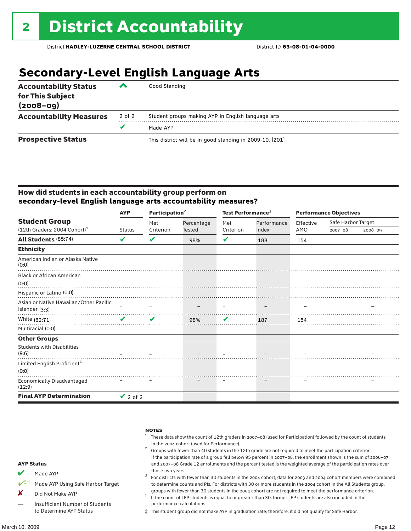### **Secondary-Level English Language Arts**

| <b>Accountability Status</b><br>for This Subject<br>$(2008 - 09)$ | ▰      | Good Standing                                            |  |  |  |  |
|-------------------------------------------------------------------|--------|----------------------------------------------------------|--|--|--|--|
| <b>Accountability Measures</b>                                    | 2 of 2 | Student groups making AYP in English language arts       |  |  |  |  |
|                                                                   |        | Made AYP                                                 |  |  |  |  |
| <b>Prospective Status</b>                                         |        | This district will be in good standing in 2009-10. [201] |  |  |  |  |

#### How did students in each accountability group perform on **secondary-level English language arts accountability measures?**

|                                                  | <b>AYP</b>    | Participation $2$ |            | Test Performance <sup>3</sup> |             | <b>Performance Objectives</b> |                    |             |
|--------------------------------------------------|---------------|-------------------|------------|-------------------------------|-------------|-------------------------------|--------------------|-------------|
| <b>Student Group</b>                             |               | Met               | Percentage | Met                           | Performance | Effective                     | Safe Harbor Target |             |
| (12th Graders: 2004 Cohort) <sup>1</sup>         | <b>Status</b> | Criterion         | Tested     | Criterion                     | Index       | AMO                           | $2007 - 08$        | $2008 - 09$ |
| All Students (85:74)                             | V             | V                 | 98%        | V                             | 188         | 154                           |                    |             |
| <b>Ethnicity</b>                                 |               |                   |            |                               |             |                               |                    |             |
| American Indian or Alaska Native<br>(0:0)        |               |                   |            |                               |             |                               |                    |             |
| <b>Black or African American</b>                 |               |                   |            |                               |             |                               |                    |             |
| (0:0)                                            |               |                   |            |                               |             |                               |                    |             |
| Hispanic or Latino (0:0)                         |               |                   |            |                               |             |                               |                    |             |
| Asian or Native Hawaiian/Other Pacific           |               |                   |            |                               |             |                               |                    |             |
| Islander (3:3)                                   |               |                   |            |                               |             |                               |                    |             |
| White (82:71)                                    | $\sqrt{2}$    | V                 | 98%        | $\mathbf{v}$                  | 187         | 154                           |                    |             |
| Multiracial (0:0)                                |               |                   |            |                               |             |                               |                    |             |
| <b>Other Groups</b>                              |               |                   |            |                               |             |                               |                    |             |
| <b>Students with Disabilities</b><br>(9:6)       |               |                   |            |                               |             |                               |                    |             |
| Limited English Proficient <sup>4</sup><br>(0:0) |               |                   |            |                               |             |                               |                    |             |
| Economically Disadvantaged<br>(12:9)             |               |                   |            |                               |             |                               |                    |             |
| <b>Final AYP Determination</b>                   | $\vee$ 2 of 2 |                   |            |                               |             |                               |                    |             |

| <b>AYP Status</b>       |                                   | <b>NOTES</b><br>These data show the count of 12th graders in 2007-08 (used for Participation) followed by the count of students<br>in the 2004 cohort (used for Performance).<br>Groups with fewer than 40 students in the 12th grade are not required to meet the participation criterion.<br>If the participation rate of a group fell below 95 percent in 2007-08, the enrollment shown is the sum of 2006-07<br>and 2007-08 Grade 12 enrollments and the percent tested is the weighted average of the participation rates over |  |  |  |  |
|-------------------------|-----------------------------------|-------------------------------------------------------------------------------------------------------------------------------------------------------------------------------------------------------------------------------------------------------------------------------------------------------------------------------------------------------------------------------------------------------------------------------------------------------------------------------------------------------------------------------------|--|--|--|--|
| $\overline{\mathbf{v}}$ | Made AYP                          | those two years.<br>For districts with fewer than 30 students in the 2004 cohort, data for 2003 and 2004 cohort members were combined                                                                                                                                                                                                                                                                                                                                                                                               |  |  |  |  |
|                         | Made AYP Using Safe Harbor Target | to determine counts and PIs. For districts with 30 or more students in the 2004 cohort in the All Students group,                                                                                                                                                                                                                                                                                                                                                                                                                   |  |  |  |  |
| x                       | Did Not Make AYP                  | groups with fewer than 30 students in the 2004 cohort are not required to meet the performance criterion.<br>If the count of LEP students is equal to or greater than 30, former LEP students are also included in the                                                                                                                                                                                                                                                                                                              |  |  |  |  |
|                         | Insufficient Number of Students   | performance calculations.                                                                                                                                                                                                                                                                                                                                                                                                                                                                                                           |  |  |  |  |

‡ This student group did not make AYP in graduation rate; therefore, it did not qualify for Safe Harbor.

to Determine AYP Status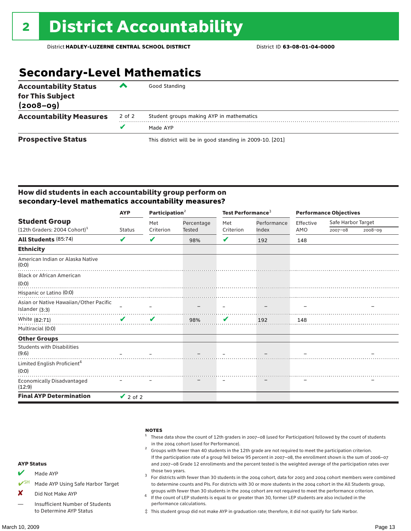### **Secondary-Level Mathematics**

| <b>Accountability Status</b><br>for This Subject<br>$(2008 - 09)$ | ▰      | Good Standing                                            |
|-------------------------------------------------------------------|--------|----------------------------------------------------------|
| <b>Accountability Measures</b>                                    | 2 of 2 | Student groups making AYP in mathematics                 |
|                                                                   |        | Made AYP                                                 |
| <b>Prospective Status</b>                                         |        | This district will be in good standing in 2009-10. [201] |

#### How did students in each accountability group perform on **secondary-level mathematics accountability measures?**

|                                             | <b>AYP</b>                    | Participation <sup>2</sup> |            | Test Performance <sup>3</sup> |             | <b>Performance Objectives</b> |                    |             |
|---------------------------------------------|-------------------------------|----------------------------|------------|-------------------------------|-------------|-------------------------------|--------------------|-------------|
| <b>Student Group</b>                        |                               | Met                        | Percentage | Met                           | Performance | Effective                     | Safe Harbor Target |             |
| $(12th$ Graders: 2004 Cohort) <sup>1</sup>  | <b>Status</b>                 | Criterion                  | Tested     | Criterion                     | Index       | AMO                           | 2007-08            | $2008 - 09$ |
| All Students (85:74)                        | V                             | V                          | 98%        | V                             | 192         | 148                           |                    |             |
| <b>Ethnicity</b>                            |                               |                            |            |                               |             |                               |                    |             |
| American Indian or Alaska Native<br>(0:0)   |                               |                            |            |                               |             |                               |                    |             |
| <b>Black or African American</b>            |                               |                            |            |                               |             |                               |                    |             |
| (0:0)                                       |                               |                            |            |                               |             |                               |                    |             |
| Hispanic or Latino (0:0)                    |                               |                            |            |                               |             |                               |                    |             |
| Asian or Native Hawaiian/Other Pacific      |                               |                            |            |                               |             |                               |                    |             |
| Islander (3:3)                              |                               |                            |            |                               |             |                               |                    |             |
| White (82:71)                               | $\mathbf{v}$ and $\mathbf{v}$ | $\boldsymbol{\mathcal{U}}$ | 98%        | V                             | 192         | 148                           |                    |             |
| Multiracial (0:0)                           |                               |                            |            |                               |             |                               |                    |             |
| <b>Other Groups</b>                         |                               |                            |            |                               |             |                               |                    |             |
| <b>Students with Disabilities</b><br>(9:6)  |                               |                            |            |                               |             |                               |                    |             |
| Limited English Proficient <sup>4</sup>     |                               |                            |            |                               |             |                               |                    |             |
| (0:0)                                       |                               |                            |            |                               |             |                               |                    |             |
| <b>Economically Disadvantaged</b><br>(12:9) |                               |                            |            |                               |             |                               |                    |             |
| <b>Final AYP Determination</b>              | $\vee$ 2 of 2                 |                            |            |                               |             |                               |                    |             |

| <b>AYP Status</b>            |                                   | <b>NOTES</b><br>These data show the count of 12th graders in 2007-08 (used for Participation) followed by the count of students<br>in the 2004 cohort (used for Performance).<br>Groups with fewer than 40 students in the 12th grade are not required to meet the participation criterion.<br>If the participation rate of a group fell below 95 percent in 2007-08, the enrollment shown is the sum of 2006-07 |  |  |  |  |
|------------------------------|-----------------------------------|------------------------------------------------------------------------------------------------------------------------------------------------------------------------------------------------------------------------------------------------------------------------------------------------------------------------------------------------------------------------------------------------------------------|--|--|--|--|
|                              |                                   | and 2007-08 Grade 12 enrollments and the percent tested is the weighted average of the participation rates over                                                                                                                                                                                                                                                                                                  |  |  |  |  |
| v                            | Made AYP                          | those two years.<br>For districts with fewer than 30 students in the 2004 cohort, data for 2003 and 2004 cohort members were combined                                                                                                                                                                                                                                                                            |  |  |  |  |
| $\boldsymbol{V}^{\text{SH}}$ | Made AYP Using Safe Harbor Target | to determine counts and PIs. For districts with 30 or more students in the 2004 cohort in the All Students group,                                                                                                                                                                                                                                                                                                |  |  |  |  |
| X                            | Did Not Make AYP                  | groups with fewer than 30 students in the 2004 cohort are not required to meet the performance criterion.<br>If the count of LEP students is equal to or greater than 30, former LEP students are also included in the                                                                                                                                                                                           |  |  |  |  |
|                              | Insufficient Number of Students   | performance calculations.                                                                                                                                                                                                                                                                                                                                                                                        |  |  |  |  |

‡ This student group did not make AYP in graduation rate; therefore, it did not qualify for Safe Harbor.

to Determine AYP Status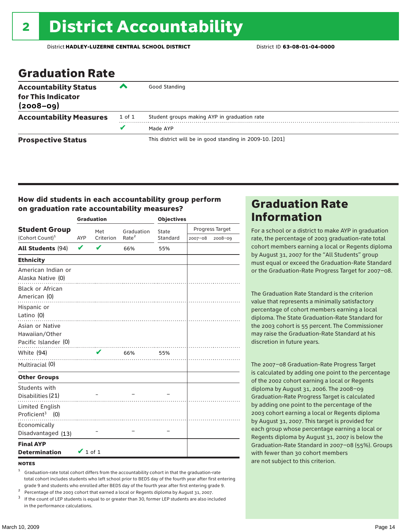### Graduation Rate

| <b>Accountability Status</b><br>for This Indicator<br>$(2008 - 09)$ | ▰      | Good Standing                                            |
|---------------------------------------------------------------------|--------|----------------------------------------------------------|
| <b>Accountability Measures</b>                                      | 1 of 1 | Student groups making AYP in graduation rate             |
|                                                                     | v      | Made AYP                                                 |
| <b>Prospective Status</b>                                           |        | This district will be in good standing in 2009-10. [201] |

#### How did students in each accountability group perform on graduation rate accountability measures?

|                                                           |               | <b>Graduation</b> |                   | <b>Objectives</b> |                 |             |  |
|-----------------------------------------------------------|---------------|-------------------|-------------------|-------------------|-----------------|-------------|--|
| <b>Student Group</b>                                      |               | Met               | Graduation        | State             | Progress Target |             |  |
| (Cohort Count) <sup>1</sup>                               | AYP           | Criterion         | Rate <sup>2</sup> | Standard          | 2007-08         | $2008 - 09$ |  |
| <b>All Students (94)</b>                                  | $\mathbf v$   | $\mathbf{v}$      | 66%               | 55%               |                 |             |  |
| <b>Ethnicity</b>                                          |               |                   |                   |                   |                 |             |  |
| American Indian or<br>Alaska Native (0)                   |               |                   |                   |                   |                 |             |  |
| <b>Black or African</b><br>American (0)                   |               |                   |                   |                   |                 |             |  |
| Hispanic or<br>Latino (0)                                 |               |                   |                   |                   |                 |             |  |
| Asian or Native<br>Hawaiian/Other<br>Pacific Islander (0) |               |                   |                   |                   |                 |             |  |
| White (94)                                                |               | $\mathbf{v}$      | 66%               | 55%               |                 |             |  |
| Multiracial (0)                                           |               |                   |                   |                   |                 |             |  |
| <b>Other Groups</b>                                       |               |                   |                   |                   |                 |             |  |
| Students with<br>Disabilities (21)                        |               |                   |                   |                   |                 |             |  |
| <b>Limited English</b><br>Proficient <sup>3</sup> $(0)$   |               |                   |                   |                   |                 |             |  |
| Economically<br>Disadvantaged (13)                        |               |                   |                   |                   |                 |             |  |
| <b>Final AYP</b><br><b>Determination</b>                  | $\vee$ 1 of 1 |                   |                   |                   |                 |             |  |

#### **NOTES**

- <sup>1</sup> Graduation-rate total cohort differs from the accountability cohort in that the graduation-rate total cohort includes students who left school prior to BEDS day of the fourth year after first entering
- 
- grade 9 and students who enrolled after BEDS day of the fourth year after first entering grade 9.<br>
<sup>2</sup> Percentage of the 2003 cohort that earned a local or Regents diploma by August 31, 2007.<br>
<sup>3</sup> If the count of LEP stud in the performance calculations.

### Graduation Rate Information

For a school or a district to make AYP in graduation rate, the percentage of 2003 graduation-rate total cohort members earning a local or Regents diploma by August 31, 2007 for the "All Students" group must equal or exceed the Graduation-Rate Standard or the Graduation-Rate Progress Target for 2007–08.

The Graduation Rate Standard is the criterion value that represents a minimally satisfactory percentage of cohort members earning a local diploma. The State Graduation-Rate Standard for the 2003 cohort is 55 percent. The Commissioner may raise the Graduation-Rate Standard at his discretion in future years.

The 2007–08 Graduation-Rate Progress Target is calculated by adding one point to the percentage of the 2002 cohort earning a local or Regents diploma by August 31, 2006. The 2008–09 Graduation-Rate Progress Target is calculated by adding one point to the percentage of the 2003 cohort earning a local or Regents diploma by August 31, 2007. This target is provided for each group whose percentage earning a local or Regents diploma by August 31, 2007 is below the Graduation-Rate Standard in 2007–08 (55%). Groups with fewer than 30 cohort members are not subject to this criterion.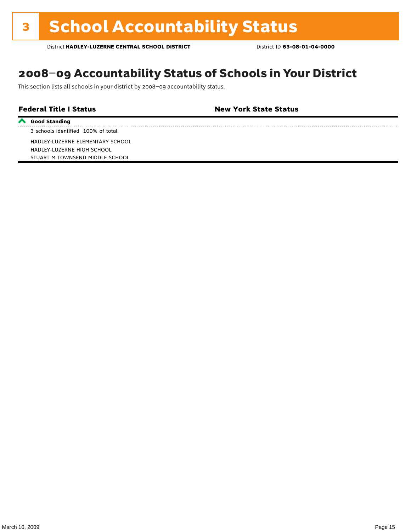### 2008–09 Accountability Status of Schools in Your District

This section lists all schools in your district by 2008–09 accountability status.

**Federal Title I Status New York State Status**

**Good Standing**

3 schools identified 100% of total

HADLEY-LUZERNE ELEMENTARY SCHOOL HADLEY-LUZERNE HIGH SCHOOL STUART M TOWNSEND MIDDLE SCHOOL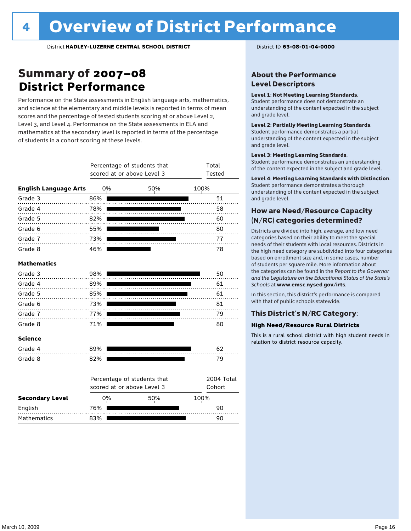### Summary of 2007–08 **District Performance**

Performance on the State assessments in English language arts, mathematics, and science at the elementary and middle levels is reported in terms of mean scores and the percentage of tested students scoring at or above Level 2, Level 3, and Level 4. Performance on the State assessments in ELA and mathematics at the secondary level is reported in terms of the percentage of students in a cohort scoring at these levels.

|                              |                                                           | Percentage of students that<br>scored at or above Level 3 | Total<br>Tested |
|------------------------------|-----------------------------------------------------------|-----------------------------------------------------------|-----------------|
| <b>English Language Arts</b> | 0%                                                        | 50%                                                       | 100%            |
| Grade 3                      | 86%                                                       |                                                           | 51              |
| Grade 4<br>.                 | 78%                                                       |                                                           | 58              |
| Grade 5                      | 82%                                                       |                                                           | 60              |
| Grade 6                      | 55%                                                       |                                                           | 80              |
| Grade 7<br>.                 | 73%                                                       |                                                           | 77              |
| Grade 8                      | 46%                                                       |                                                           | 78              |
| <b>Mathematics</b>           |                                                           |                                                           |                 |
| Grade 3                      | 98%                                                       |                                                           | 50              |
| Grade 4                      | 89%                                                       |                                                           | 61              |
| Grade 5                      | 85%                                                       |                                                           | 61              |
| Grade 6                      | 73%                                                       |                                                           | 81              |
| Grade 7                      | 77%                                                       |                                                           | 79              |
| Grade 8                      | 71%                                                       |                                                           | 80              |
| <b>Science</b>               |                                                           |                                                           |                 |
| Grade 4                      | 89%                                                       |                                                           | 62              |
| Grade 8                      | 82%                                                       |                                                           | 79              |
|                              | Percentage of students that<br>scored at or above Level 3 | 2004 Total<br>Cohort                                      |                 |
| <b>Secondary Level</b>       | 0%                                                        | 50%                                                       | 100%            |

English 76% 90 Mathematics 83% 90

#### About the Performance Level Descriptors

#### Level 1: Not Meeting Learning Standards.

Student performance does not demonstrate an understanding of the content expected in the subject and grade level.

#### Level 2: Partially Meeting Learning Standards.

Student performance demonstrates a partial understanding of the content expected in the subject and grade level.

#### Level 3: Meeting Learning Standards.

Student performance demonstrates an understanding of the content expected in the subject and grade level.

#### Level 4: Meeting Learning Standards with Distinction.

Student performance demonstrates a thorough understanding of the content expected in the subject and grade level.

#### How are Need/Resource Capacity (N/RC) categories determined?

Districts are divided into high, average, and low need categories based on their ability to meet the special needs of their students with local resources. Districts in the high need category are subdivided into four categories based on enrollment size and, in some cases, number of students per square mile. More information about the categories can be found in the *Report to the Governor and the Legislature on the Educational Status of the State's Schools* at www.emsc.nysed.gov/irts.

In this section, this district's performance is compared with that of public schools statewide.

#### This District's N/RC Category:

#### **High Need/Resource Rural Districts**

This is a rural school district with high student needs in relation to district resource capacity.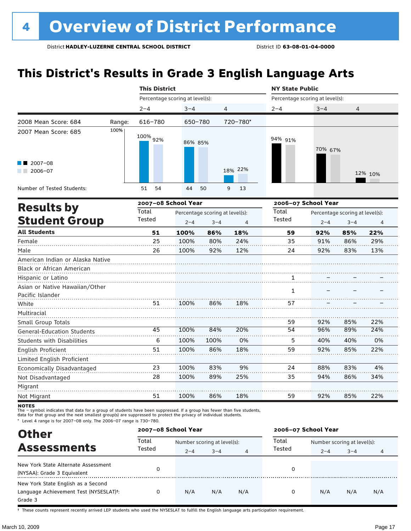### **This District's Results in Grade 3 English Language Arts**

|                                       |          | <b>This District</b> |                                 |         |                | <b>NY State Public</b>          |         |                                 |                |  |
|---------------------------------------|----------|----------------------|---------------------------------|---------|----------------|---------------------------------|---------|---------------------------------|----------------|--|
|                                       |          |                      | Percentage scoring at level(s): |         |                | Percentage scoring at level(s): |         |                                 |                |  |
|                                       |          | $2 - 4$              | $3 - 4$                         | 4       |                | $2 - 4$                         | $3 - 4$ | 4                               |                |  |
| 2008 Mean Score: 684                  | Range:   | 616-780              | 650-780                         |         | 720-780*       |                                 |         |                                 |                |  |
| 2007 Mean Score: 685                  | 100%     | 100% 92%             | 86% 85%                         |         |                | 94% 91%                         | 70% 67% |                                 |                |  |
| 2007-08<br>2006-07<br><b>Contract</b> |          |                      |                                 |         | 18% 22%        |                                 |         |                                 | 12% 10%        |  |
| Number of Tested Students:            | 54<br>51 | 44                   | 50                              | 13<br>9 |                |                                 |         |                                 |                |  |
|                                       |          | 2007-08 School Year  |                                 |         |                | 2006-07 School Year             |         |                                 |                |  |
| <b>Results by</b>                     |          | Total                | Percentage scoring at level(s): |         |                | Total                           |         | Percentage scoring at level(s): |                |  |
| <b>Student Group</b>                  |          | Tested               | $2 - 4$                         | $3 - 4$ | $\overline{4}$ | Tested                          | $2 - 4$ | $3 - 4$                         | $\overline{4}$ |  |
| <b>All Students</b>                   |          | 51                   | 100%                            | 86%     | 18%            | 59                              | 92%     | 85%                             | 22%            |  |
| Female                                |          | 25                   | 100%                            | 80%     | 24%            | 35                              | 91%     | 86%                             | 29%            |  |
| Male                                  |          | 26                   | 100%                            | 92%     | 12%            | 24                              | 92%     | 83%                             | 13%            |  |
| American Indian or Alaska Native      |          |                      |                                 |         |                |                                 |         |                                 |                |  |
| Black or African American             |          |                      |                                 |         |                |                                 |         |                                 |                |  |
| Hispanic or Latino                    |          |                      |                                 |         |                | 1                               |         |                                 |                |  |
| Asian or Native Hawaiian/Other        |          |                      |                                 |         |                | $\mathbf{1}$                    |         |                                 |                |  |
| Pacific Islander                      |          |                      |                                 |         |                |                                 |         |                                 |                |  |
| White                                 |          | 51                   | 100%                            | 86%     | 18%            | 57                              |         |                                 |                |  |
| Multiracial                           |          |                      |                                 |         |                |                                 |         |                                 |                |  |
| Small Group Totals                    |          |                      |                                 |         |                | 59                              | 92%     | 85%                             | 22%            |  |
| <b>General-Education Students</b>     |          | 45                   | 100%                            | 84%     | 20%            | 54                              | 96%     | 89%                             | 24%            |  |
| <b>Students with Disabilities</b>     |          | 6                    | 100%                            | 100%    | 0%             | 5                               | 40%     | 40%                             | 0%             |  |
| English Proficient                    |          | 51                   | 100%                            | 86%     | 18%            | 59                              | 92%     | 85%                             | 22%            |  |
| Limited English Proficient            |          |                      |                                 |         |                |                                 |         |                                 |                |  |
| Economically Disadvantaged            |          | 23                   | 100%                            | 83%     | 9%             | 24                              | 88%     | 83%                             | 4%             |  |
| Not Disadvantaged                     |          | 28                   | 100%                            | 89%     | 25%            | 35                              | 94%     | 86%                             | 34%            |  |
| Migrant                               |          |                      |                                 |         |                |                                 |         |                                 |                |  |
| Not Migrant                           |          | 51                   | 100%                            | 86%     | 18%            | 59                              | 92%     | 85%                             | 22%            |  |

**NOTES** 

The – symbol indicates that data for a group of students have been suppressed. If a group has fewer than five students,<br>data for that group and the next smallest group(s) are suppressed to protect the privacy of individual

\* Level 4 range is for 2007–08 only. The 2006–07 range is 730–780.

| <b>Other</b>                                                                                         |                 | 2007-08 School Year |                             |                |        | 2006-07 School Year         |         |     |  |
|------------------------------------------------------------------------------------------------------|-----------------|---------------------|-----------------------------|----------------|--------|-----------------------------|---------|-----|--|
| <b>Assessments</b>                                                                                   | Total<br>Tested |                     | Number scoring at level(s): |                |        | Number scoring at level(s): |         |     |  |
|                                                                                                      |                 | $2 - 4$             | $3 - 4$                     | $\overline{4}$ | Tested | $2 - 4$                     | $3 - 4$ | 4   |  |
| New York State Alternate Assessment<br>(NYSAA): Grade 3 Equivalent                                   |                 |                     |                             |                | 0      |                             |         |     |  |
| New York State English as a Second<br>Language Achievement Test (NYSESLAT) <sup>+</sup> :<br>Grade 3 | 0               | N/A                 | N/A                         | N/A            | 0      | N/A                         | N/A     | N/A |  |

† These counts represent recently arrived LEP students who used the NYSESLAT to fulfill the English language arts participation requirement.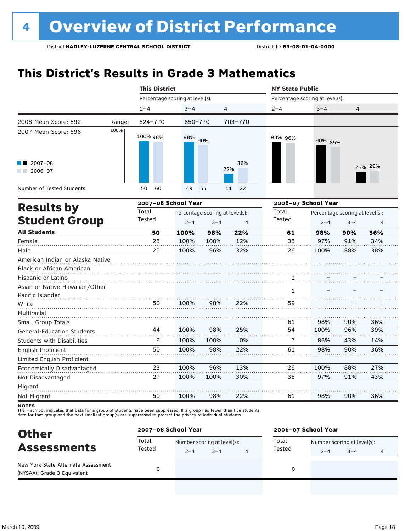### **This District's Results in Grade 3 Mathematics**

|                                   |        | <b>This District</b>            |         |                                 |            | <b>NY State Public</b>          |                                 |     |         |  |
|-----------------------------------|--------|---------------------------------|---------|---------------------------------|------------|---------------------------------|---------------------------------|-----|---------|--|
|                                   |        | Percentage scoring at level(s): |         |                                 |            | Percentage scoring at level(s): |                                 |     |         |  |
|                                   |        | $2 - 4$                         | $3 - 4$ | 4                               |            | $2 - 4$                         | $3 - 4$                         | 4   |         |  |
| 2008 Mean Score: 692              | Range: | 624-770                         | 650-770 |                                 | 703-770    |                                 |                                 |     |         |  |
| 2007 Mean Score: 696              | 100%   | 100% 98%                        | 98% 90% |                                 |            | 98% 96%                         | 90% 85%                         |     |         |  |
| $2007 - 08$<br>$2006 - 07$        |        |                                 |         |                                 | 36%<br>22% |                                 |                                 |     | 26% 29% |  |
| Number of Tested Students:        |        | 60<br>50                        | 49      | 55                              | 22<br>11   |                                 |                                 |     |         |  |
| <b>Results by</b>                 |        | 2007-08 School Year             |         |                                 |            |                                 | 2006-07 School Year             |     |         |  |
|                                   |        | Total                           |         | Percentage scoring at level(s): |            | Total                           | Percentage scoring at level(s): |     |         |  |
| <b>Student Group</b>              | Tested | $2 - 4$                         | $3 - 4$ | 4                               | Tested     | $2 - 4$                         | $3 - 4$                         | 4   |         |  |
| <b>All Students</b>               |        | 50                              | 100%    | 98%                             | 22%        | 61                              | 98%                             | 90% | 36%     |  |
| Female                            |        | 25                              | 100%    | 100%                            | 12%        | 35                              | 97%                             | 91% | 34%     |  |
| Male                              |        | 25                              | 100%    | 96%                             | 32%        | 26                              | 100%                            | 88% | 38%     |  |
| American Indian or Alaska Native  |        |                                 |         |                                 |            |                                 |                                 |     |         |  |
| <b>Black or African American</b>  |        |                                 |         |                                 |            |                                 |                                 |     |         |  |
| Hispanic or Latino                |        |                                 |         |                                 |            | 1                               |                                 |     |         |  |
| Asian or Native Hawaiian/Other    |        |                                 |         |                                 |            | $\mathbf{1}$                    |                                 |     |         |  |
| Pacific Islander                  |        |                                 |         |                                 |            |                                 |                                 |     |         |  |
| White                             |        | 50                              | 100%    | 98%                             | 22%        | 59                              |                                 |     |         |  |
| Multiracial                       |        |                                 |         |                                 |            |                                 |                                 |     |         |  |
| Small Group Totals                |        |                                 |         |                                 |            | 61                              | 98%                             | 90% | 36%     |  |
| <b>General-Education Students</b> |        | 44                              | 100%    | 98%                             | 25%        | 54                              | 100%                            | 96% | 39%     |  |
| <b>Students with Disabilities</b> |        | 6                               | 100%    | 100%                            | 0%         | 7                               | 86%                             | 43% | 14%     |  |
| <b>English Proficient</b>         |        | 50                              | 100%    | 98%                             | 22%        | 61                              | 98%                             | 90% | 36%     |  |
| Limited English Proficient        |        |                                 |         |                                 |            |                                 |                                 |     |         |  |
| 23<br>Economically Disadvantaged  |        |                                 | 100%    | 96%                             | 13%        | 26                              | 100%                            | 88% | 27%     |  |
| 27<br>Not Disadvantaged           |        | 100%                            | 100%    | 30%                             | 35         | 97%                             | 91%                             | 43% |         |  |
| Migrant                           |        |                                 |         |                                 |            |                                 |                                 |     |         |  |
| Not Migrant                       |        | 50                              | 100%    | 98%                             | 22%        | 61                              | 98%                             | 90% | 36%     |  |

**NOTES** 

The – symbol indicates that data for a group of students have been suppressed. If a group has fewer than five students,<br>data for that group and the next smallest group(s) are suppressed to protect the privacy of individual

| <b>Other</b><br><b>Assessments</b>                                 | 2007-08 School Year |         |                             |   | 2006-07 School Year |         |                             |   |  |
|--------------------------------------------------------------------|---------------------|---------|-----------------------------|---|---------------------|---------|-----------------------------|---|--|
|                                                                    | Total<br>Tested     |         | Number scoring at level(s): |   |                     |         | Number scoring at level(s): |   |  |
|                                                                    |                     | $2 - 4$ | $3 - 4$                     | 4 | Tested              | $2 - 4$ | $3 - 4$                     | 4 |  |
| New York State Alternate Assessment<br>(NYSAA): Grade 3 Equivalent |                     |         |                             |   | 0                   |         |                             |   |  |
|                                                                    |                     |         |                             |   |                     |         |                             |   |  |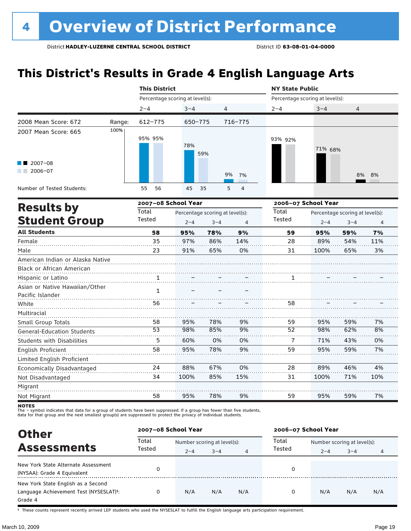### **This District's Results in Grade 4 English Language Arts**

|                                                                      |        | <b>This District</b>            |             |                                 |          | <b>NY State Public</b>          |         |                                 |     |  |
|----------------------------------------------------------------------|--------|---------------------------------|-------------|---------------------------------|----------|---------------------------------|---------|---------------------------------|-----|--|
|                                                                      |        | Percentage scoring at level(s): |             |                                 |          | Percentage scoring at level(s): |         |                                 |     |  |
|                                                                      |        | $2 - 4$                         | $3 - 4$     | 4                               |          | $2 - 4$                         | $3 - 4$ | 4                               |     |  |
| 2008 Mean Score: 672                                                 | Range: | $612 - 775$                     | $650 - 775$ |                                 | 716-775  |                                 |         |                                 |     |  |
| 2007 Mean Score: 665                                                 | 100%   | 95% 95%                         | 78%         | 59%                             |          | 93% 92%                         | 71% 68% |                                 |     |  |
| $2007 - 08$<br>$2006 - 07$                                           |        |                                 |             |                                 | 9%<br>7% |                                 |         | 8%                              | 8%  |  |
| Number of Tested Students:                                           |        | 56<br>55                        | 45          | 35                              | 5<br>4   |                                 |         |                                 |     |  |
| <b>Results by</b>                                                    |        | 2007-08 School Year             |             |                                 |          | 2006-07 School Year             |         |                                 |     |  |
|                                                                      |        | Total                           |             | Percentage scoring at level(s): |          | Total                           |         | Percentage scoring at level(s): |     |  |
| <b>Student Group</b>                                                 |        | Tested                          | $2 - 4$     | $3 - 4$                         | 4        | Tested                          | $2 - 4$ | $3 - 4$                         | 4   |  |
| <b>All Students</b>                                                  |        | 58                              | 95%         | 78%                             | 9%       | 59                              | 95%     | 59%                             | 7%  |  |
| Female                                                               |        | 35                              | 97%         | 86%                             | 14%      | 28                              | 89%     | 54%                             | 11% |  |
| Male                                                                 |        | 23                              | 91%         | 65%                             | 0%       | 31                              | 100%    | 65%                             | 3%  |  |
| American Indian or Alaska Native<br><b>Black or African American</b> |        |                                 |             |                                 |          |                                 |         |                                 |     |  |
| Hispanic or Latino                                                   |        | 1                               |             |                                 |          | 1                               |         |                                 |     |  |
| Asian or Native Hawaiian/Other<br>Pacific Islander                   |        | $\mathbf{1}$                    |             |                                 |          |                                 |         |                                 |     |  |
| White                                                                |        | 56                              |             |                                 |          | 58                              |         |                                 |     |  |
| Multiracial                                                          |        |                                 |             |                                 |          |                                 |         |                                 |     |  |
| Small Group Totals                                                   |        | 58                              | 95%         | 78%                             | 9%       | 59                              | 95%     | 59%                             | 7%  |  |
| <b>General-Education Students</b>                                    |        | 53                              | 98%         | 85%                             | 9%       | 52                              | 98%     | 62%                             | 8%  |  |
| <b>Students with Disabilities</b>                                    |        | 5                               | 60%         | 0%                              | 0%       | 7                               | 71%     | 43%                             | 0%  |  |
| English Proficient                                                   |        | 58                              | 95%         | 78%                             | 9%       | 59                              | 95%     | 59%                             | 7%  |  |
| Limited English Proficient                                           |        |                                 |             |                                 |          |                                 |         |                                 |     |  |
| Economically Disadvantaged                                           |        | 24                              | 88%         | 67%                             | 0%       | 28                              | 89%     | 46%                             | 4%  |  |

Migrant Not Migrant 58 95% 78% 9% 59 95% 59% 7%

85%

15%

31

100%

71%

10%

100%

Not Disadvantaged

The – symbol indicates that data for a group of students have been suppressed. If a group has fewer than five students,<br>data for that group and the next smallest group(s) are suppressed to protect the privacy of individual

34

| <b>Other</b>                           |                 | 2007-08 School Year         |         |     |        | 2006-07 School Year         |         |     |  |
|----------------------------------------|-----------------|-----------------------------|---------|-----|--------|-----------------------------|---------|-----|--|
| <b>Assessments</b>                     | Total<br>Tested | Number scoring at level(s): |         |     | Total  | Number scoring at level(s): |         |     |  |
|                                        |                 | $2 - 4$                     | $3 - 4$ | 4   | Tested | $2 - 4$                     | $3 - 4$ | 4   |  |
| New York State Alternate Assessment    | 0               |                             |         |     | 0      |                             |         |     |  |
| (NYSAA): Grade 4 Equivalent            |                 |                             |         |     |        |                             |         |     |  |
| New York State English as a Second     |                 |                             |         |     |        |                             |         |     |  |
| Language Achievement Test (NYSESLAT)t: | 0               | N/A                         | N/A     | N/A | 0      | N/A                         | N/A     | N/A |  |
| Grade 4                                |                 |                             |         |     |        |                             |         |     |  |

† These counts represent recently arrived LEP students who used the NYSESLAT to fulfill the English language arts participation requirement.

**NOTES**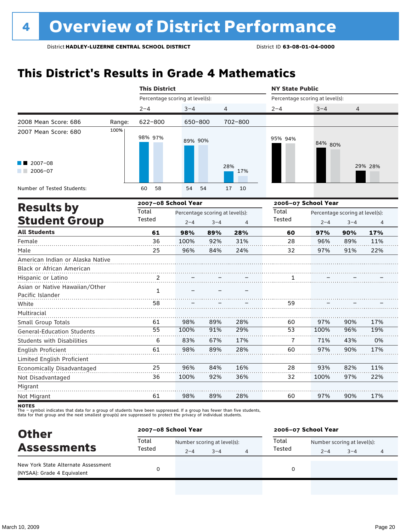### **This District's Results in Grade 4 Mathematics**

|                                                               |        | <b>This District</b> |                                 |                                 |                | <b>NY State Public</b>          |                     |                                 |         |  |
|---------------------------------------------------------------|--------|----------------------|---------------------------------|---------------------------------|----------------|---------------------------------|---------------------|---------------------------------|---------|--|
|                                                               |        |                      | Percentage scoring at level(s): |                                 |                | Percentage scoring at level(s): |                     |                                 |         |  |
|                                                               |        | $2 - 4$              | $3 - 4$                         | 4                               |                | $2 - 4$                         | $3 - 4$             | 4                               |         |  |
| 2008 Mean Score: 686                                          | Range: | 622-800              |                                 | 650-800                         | 702-800        |                                 |                     |                                 |         |  |
| 2007 Mean Score: 680                                          | 100%   | 98% 97%<br>89% 90%   |                                 |                                 | 95% 94%        | 84% 80%                         |                     |                                 |         |  |
| $2007 - 08$<br>2006-07<br>a kacamatan                         |        |                      |                                 |                                 | 28%<br>17%     |                                 |                     |                                 | 29% 28% |  |
| Number of Tested Students:                                    |        | 58<br>60             | 54                              | 54                              | 17<br>10       |                                 |                     |                                 |         |  |
|                                                               |        |                      | 2007-08 School Year             |                                 |                |                                 | 2006-07 School Year |                                 |         |  |
| <b>Results by</b>                                             |        | Total                |                                 | Percentage scoring at level(s): |                | Total                           |                     | Percentage scoring at level(s): |         |  |
| <b>Student Group</b>                                          |        | Tested               | $2 - 4$                         | $3 - 4$                         | $\overline{4}$ | Tested                          | $2 - 4$             | $3 - 4$                         | 4       |  |
| <b>All Students</b>                                           |        | 61                   | 98%                             | 89%                             | 28%            | 60                              | 97%                 | 90%                             | 17%     |  |
| Female                                                        |        | 36                   | 100%                            | 92%                             | 31%            | 28                              | 96%                 | 89%                             | 11%     |  |
| Male                                                          |        | 25                   | 96%                             | 84%                             | 24%            | 32                              | 97%                 | 91%                             | 22%     |  |
| American Indian or Alaska Native<br>Black or African American |        |                      |                                 |                                 |                |                                 |                     |                                 |         |  |
| Hispanic or Latino                                            |        | $\overline{2}$       |                                 |                                 |                | 1                               |                     |                                 |         |  |
| Asian or Native Hawaiian/Other<br>Pacific Islander            |        | $\mathbf{1}$         |                                 |                                 |                |                                 |                     |                                 |         |  |
| White                                                         |        | 58                   |                                 |                                 |                | 59                              |                     |                                 |         |  |
| Multiracial                                                   |        |                      |                                 |                                 |                |                                 |                     |                                 |         |  |
| Small Group Totals                                            |        | 61                   | 98%                             | 89%                             | 28%            | 60                              | 97%                 | 90%                             | 17%     |  |
| <b>General-Education Students</b>                             |        | 55                   | 100%                            | 91%                             | 29%            | 53                              | 100%                | 96%                             | 19%     |  |
| <b>Students with Disabilities</b>                             |        | 6                    | 83%                             | 67%                             | 17%            | $\overline{1}$                  | 71%                 | 43%                             | 0%      |  |
| English Proficient<br>Limited English Proficient              |        | 61                   | 98%                             | 89%                             | 28%            | 60                              | 97%                 | 90%                             | 17%     |  |
| Economically Disadvantaged                                    |        | 25                   | 96%                             | 84%                             | 16%            | 28                              | 93%                 | 82%                             | 11%     |  |

Not Disadvantaged Migrant Not Migrant 61 98% 89% 28% 60 97% 90% 17%

92%

36%

32

100%

97%

22%

100%

The – symbol indicates that data for a group of students have been suppressed. If a group has fewer than five students,<br>data for that group and the next smallest group(s) are suppressed to protect the privacy of individual

36

| <b>Other</b><br><b>Assessments</b>                                 |                 | 2007-08 School Year |                             |  | 2006-07 School Year |                             |         |   |  |
|--------------------------------------------------------------------|-----------------|---------------------|-----------------------------|--|---------------------|-----------------------------|---------|---|--|
|                                                                    | Total<br>Tested |                     | Number scoring at level(s): |  |                     | Number scoring at level(s): |         |   |  |
|                                                                    |                 | $2 - 4$             | $3 - 4$                     |  | Tested              | $2 - 4$                     | $3 - 4$ | 4 |  |
| New York State Alternate Assessment<br>(NYSAA): Grade 4 Equivalent |                 |                     |                             |  | 0                   |                             |         |   |  |

**NOTES**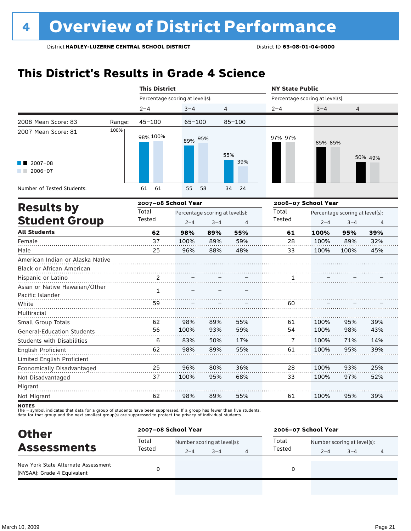### **This District's Results in Grade 4 Science**

|                                                    |        | <b>This District</b>            |                                 |         |            |                     | <b>NY State Public</b>          |         |         |  |  |  |
|----------------------------------------------------|--------|---------------------------------|---------------------------------|---------|------------|---------------------|---------------------------------|---------|---------|--|--|--|
|                                                    |        | Percentage scoring at level(s): |                                 |         |            |                     | Percentage scoring at level(s): |         |         |  |  |  |
|                                                    |        | $2 - 4$                         | $3 - 4$                         | 4       |            | $2 - 4$             | $3 - 4$                         | 4       |         |  |  |  |
| 2008 Mean Score: 83                                | Range: | $45 - 100$                      | $65 - 100$                      |         | $85 - 100$ |                     |                                 |         |         |  |  |  |
| 2007 Mean Score: 81                                | 100%   | 98% 100%                        | 89% 95%                         |         | 55%        | 97% 97%             | 85% 85%                         |         | 50% 49% |  |  |  |
| $2007 - 08$<br>2006-07                             |        |                                 |                                 |         | 39%        |                     |                                 |         |         |  |  |  |
| Number of Tested Students:                         |        | 61<br>61                        | 55                              | 58      | 34<br>24   |                     |                                 |         |         |  |  |  |
| <b>Results by</b>                                  |        | 2007-08 School Year             |                                 |         |            | 2006-07 School Year |                                 |         |         |  |  |  |
|                                                    |        | Total                           | Percentage scoring at level(s): |         |            | Total               | Percentage scoring at level(s): |         |         |  |  |  |
| <b>Student Group</b>                               |        | Tested                          | $2 - 4$                         | $3 - 4$ | 4          | Tested              | $2 - 4$                         | $3 - 4$ | 4       |  |  |  |
| <b>All Students</b>                                |        | 62                              | 98%                             | 89%     | 55%        | 61                  | 100%                            | 95%     | 39%     |  |  |  |
| Female                                             |        | 37                              | 100%                            | 89%     | 59%        | 28                  | 100%                            | 89%     | 32%     |  |  |  |
| Male                                               |        | 25                              | 96%                             | 88%     | 48%        | 33                  | 100%                            | 100%    | 45%     |  |  |  |
| American Indian or Alaska Native                   |        |                                 |                                 |         |            |                     |                                 |         |         |  |  |  |
| Black or African American                          |        |                                 |                                 |         |            |                     |                                 |         |         |  |  |  |
| Hispanic or Latino                                 |        | 2                               |                                 |         |            | 1                   |                                 |         |         |  |  |  |
| Asian or Native Hawaiian/Other<br>Pacific Islander |        | 1                               |                                 |         |            |                     |                                 |         |         |  |  |  |
| White                                              |        | 59                              |                                 |         |            | 60                  |                                 |         |         |  |  |  |
| Multiracial                                        |        |                                 |                                 |         |            |                     |                                 |         |         |  |  |  |

Migrant Not Migrant

Small Group Totals

English Proficient

Not Disadvantaged

General-Education Students Students with Disabilities

Limited English Proficient Economically Disadvantaged

The – symbol indicates that data for a group of students have been suppressed. If a group has fewer than five students,

98% 100% 83% 98%

89% 93% 50% 89%

55% 59% 17% 55%

100% 100% 100% 100% 95% 98% 71% 95%

39% 43% 14% 39%

25% 52%

39%

93% 97%

95%

100% 100%

100%

28 33

61

36% 68%

55%

80% 95%

89%

96% 100%

98%

25 37

62

The – symbot muicates that data for a group of students have been suppressed. In a group has fewer than five<br>data for that group and the next smallest group(s) are suppressed to protect the privacy of individual students.

| <b>Other</b>                                                       |                 | 2007-08 School Year         |         |  | 2006-07 School Year |                             |         |  |  |
|--------------------------------------------------------------------|-----------------|-----------------------------|---------|--|---------------------|-----------------------------|---------|--|--|
| <b>Assessments</b>                                                 | Total<br>Tested | Number scoring at level(s): |         |  | Total               | Number scoring at level(s): |         |  |  |
|                                                                    |                 | $2 - 4$                     | $3 - 4$ |  | Tested              | $2 - 4$                     | $3 - 4$ |  |  |
| New York State Alternate Assessment<br>(NYSAA): Grade 4 Equivalent |                 |                             |         |  | 0                   |                             |         |  |  |
|                                                                    |                 |                             |         |  |                     |                             |         |  |  |

**NOTES**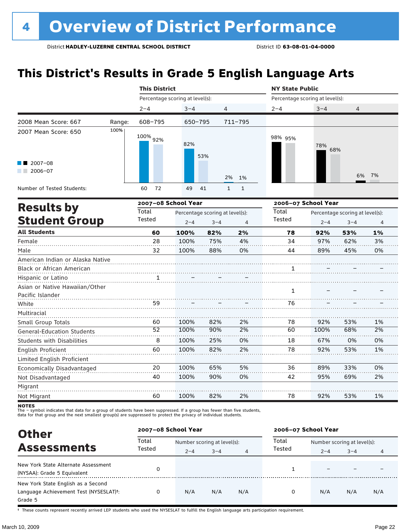### **This District's Results in Grade 5 English Language Arts**

| Percentage scoring at level(s):<br>Percentage scoring at level(s):<br>$3 - 4$<br>$2 - 4$<br>$3 - 4$<br>4<br>$2 - 4$<br>4<br>2008 Mean Score: 667<br>711-795<br>608-795<br>650-795<br>Range:<br>100%<br>2007 Mean Score: 650<br>100% 92%<br>98% 95%<br>82%<br>78%<br>68%<br>53%<br>$2007 - 08$<br>$2006 - 07$<br>7%<br>6%<br>2%<br>1%<br>Number of Tested Students:<br>72<br>49<br>41<br>$\mathbf{1}$<br>$\mathbf{1}$<br>60<br>2007-08 School Year<br>2006-07 School Year<br><b>Results by</b><br>Total<br>Total<br>Percentage scoring at level(s):<br>Percentage scoring at level(s):<br><b>Student Group</b><br>Tested<br>Tested<br>$2 - 4$<br>$3 - 4$<br>$\overline{4}$<br>$2 - 4$<br>$3 - 4$<br>4<br><b>All Students</b><br>60<br>100%<br>82%<br>2%<br>78<br>92%<br>1%<br>53%<br>28<br>75%<br>100%<br>4%<br>34<br>97%<br>62%<br>3%<br>Female<br>Male<br>88%<br>0%<br>89%<br>45%<br>0%<br>32<br>100%<br>44<br>American Indian or Alaska Native<br>Black or African American<br>1<br>1<br>Hispanic or Latino<br>Asian or Native Hawaiian/Other<br>$\mathbf{1}$<br>Pacific Islander<br>59<br>76<br>White<br>Multiracial<br>92%<br>100%<br>82%<br>2%<br>78<br>53%<br>1%<br>Small Group Totals<br>60<br>52<br>90%<br>2%<br>60<br>68%<br>2%<br>100%<br>100%<br><b>General-Education Students</b><br>8<br>100%<br>25%<br>0%<br>18<br>0%<br>0%<br><b>Students with Disabilities</b><br>67%<br>60<br>78<br>100%<br>82%<br>2%<br>92%<br>53%<br>1%<br>English Proficient<br>Limited English Proficient<br>20<br>100%<br>65%<br>36<br>33%<br>0%<br>Economically Disadvantaged<br>5%<br>89%<br>100%<br>90%<br>0%<br>42<br>95%<br>2%<br>40<br>69%<br>Not Disadvantaged |  |  | <b>This District</b> |  |  | <b>NY State Public</b> |  |  |  |  |
|-------------------------------------------------------------------------------------------------------------------------------------------------------------------------------------------------------------------------------------------------------------------------------------------------------------------------------------------------------------------------------------------------------------------------------------------------------------------------------------------------------------------------------------------------------------------------------------------------------------------------------------------------------------------------------------------------------------------------------------------------------------------------------------------------------------------------------------------------------------------------------------------------------------------------------------------------------------------------------------------------------------------------------------------------------------------------------------------------------------------------------------------------------------------------------------------------------------------------------------------------------------------------------------------------------------------------------------------------------------------------------------------------------------------------------------------------------------------------------------------------------------------------------------------------------------------------------------------------------------------------------------------------------------|--|--|----------------------|--|--|------------------------|--|--|--|--|
|                                                                                                                                                                                                                                                                                                                                                                                                                                                                                                                                                                                                                                                                                                                                                                                                                                                                                                                                                                                                                                                                                                                                                                                                                                                                                                                                                                                                                                                                                                                                                                                                                                                             |  |  |                      |  |  |                        |  |  |  |  |
|                                                                                                                                                                                                                                                                                                                                                                                                                                                                                                                                                                                                                                                                                                                                                                                                                                                                                                                                                                                                                                                                                                                                                                                                                                                                                                                                                                                                                                                                                                                                                                                                                                                             |  |  |                      |  |  |                        |  |  |  |  |
|                                                                                                                                                                                                                                                                                                                                                                                                                                                                                                                                                                                                                                                                                                                                                                                                                                                                                                                                                                                                                                                                                                                                                                                                                                                                                                                                                                                                                                                                                                                                                                                                                                                             |  |  |                      |  |  |                        |  |  |  |  |
|                                                                                                                                                                                                                                                                                                                                                                                                                                                                                                                                                                                                                                                                                                                                                                                                                                                                                                                                                                                                                                                                                                                                                                                                                                                                                                                                                                                                                                                                                                                                                                                                                                                             |  |  |                      |  |  |                        |  |  |  |  |
|                                                                                                                                                                                                                                                                                                                                                                                                                                                                                                                                                                                                                                                                                                                                                                                                                                                                                                                                                                                                                                                                                                                                                                                                                                                                                                                                                                                                                                                                                                                                                                                                                                                             |  |  |                      |  |  |                        |  |  |  |  |
|                                                                                                                                                                                                                                                                                                                                                                                                                                                                                                                                                                                                                                                                                                                                                                                                                                                                                                                                                                                                                                                                                                                                                                                                                                                                                                                                                                                                                                                                                                                                                                                                                                                             |  |  |                      |  |  |                        |  |  |  |  |
|                                                                                                                                                                                                                                                                                                                                                                                                                                                                                                                                                                                                                                                                                                                                                                                                                                                                                                                                                                                                                                                                                                                                                                                                                                                                                                                                                                                                                                                                                                                                                                                                                                                             |  |  |                      |  |  |                        |  |  |  |  |
|                                                                                                                                                                                                                                                                                                                                                                                                                                                                                                                                                                                                                                                                                                                                                                                                                                                                                                                                                                                                                                                                                                                                                                                                                                                                                                                                                                                                                                                                                                                                                                                                                                                             |  |  |                      |  |  |                        |  |  |  |  |
|                                                                                                                                                                                                                                                                                                                                                                                                                                                                                                                                                                                                                                                                                                                                                                                                                                                                                                                                                                                                                                                                                                                                                                                                                                                                                                                                                                                                                                                                                                                                                                                                                                                             |  |  |                      |  |  |                        |  |  |  |  |
|                                                                                                                                                                                                                                                                                                                                                                                                                                                                                                                                                                                                                                                                                                                                                                                                                                                                                                                                                                                                                                                                                                                                                                                                                                                                                                                                                                                                                                                                                                                                                                                                                                                             |  |  |                      |  |  |                        |  |  |  |  |
|                                                                                                                                                                                                                                                                                                                                                                                                                                                                                                                                                                                                                                                                                                                                                                                                                                                                                                                                                                                                                                                                                                                                                                                                                                                                                                                                                                                                                                                                                                                                                                                                                                                             |  |  |                      |  |  |                        |  |  |  |  |
|                                                                                                                                                                                                                                                                                                                                                                                                                                                                                                                                                                                                                                                                                                                                                                                                                                                                                                                                                                                                                                                                                                                                                                                                                                                                                                                                                                                                                                                                                                                                                                                                                                                             |  |  |                      |  |  |                        |  |  |  |  |
|                                                                                                                                                                                                                                                                                                                                                                                                                                                                                                                                                                                                                                                                                                                                                                                                                                                                                                                                                                                                                                                                                                                                                                                                                                                                                                                                                                                                                                                                                                                                                                                                                                                             |  |  |                      |  |  |                        |  |  |  |  |
|                                                                                                                                                                                                                                                                                                                                                                                                                                                                                                                                                                                                                                                                                                                                                                                                                                                                                                                                                                                                                                                                                                                                                                                                                                                                                                                                                                                                                                                                                                                                                                                                                                                             |  |  |                      |  |  |                        |  |  |  |  |
|                                                                                                                                                                                                                                                                                                                                                                                                                                                                                                                                                                                                                                                                                                                                                                                                                                                                                                                                                                                                                                                                                                                                                                                                                                                                                                                                                                                                                                                                                                                                                                                                                                                             |  |  |                      |  |  |                        |  |  |  |  |
|                                                                                                                                                                                                                                                                                                                                                                                                                                                                                                                                                                                                                                                                                                                                                                                                                                                                                                                                                                                                                                                                                                                                                                                                                                                                                                                                                                                                                                                                                                                                                                                                                                                             |  |  |                      |  |  |                        |  |  |  |  |
|                                                                                                                                                                                                                                                                                                                                                                                                                                                                                                                                                                                                                                                                                                                                                                                                                                                                                                                                                                                                                                                                                                                                                                                                                                                                                                                                                                                                                                                                                                                                                                                                                                                             |  |  |                      |  |  |                        |  |  |  |  |
|                                                                                                                                                                                                                                                                                                                                                                                                                                                                                                                                                                                                                                                                                                                                                                                                                                                                                                                                                                                                                                                                                                                                                                                                                                                                                                                                                                                                                                                                                                                                                                                                                                                             |  |  |                      |  |  |                        |  |  |  |  |
|                                                                                                                                                                                                                                                                                                                                                                                                                                                                                                                                                                                                                                                                                                                                                                                                                                                                                                                                                                                                                                                                                                                                                                                                                                                                                                                                                                                                                                                                                                                                                                                                                                                             |  |  |                      |  |  |                        |  |  |  |  |
|                                                                                                                                                                                                                                                                                                                                                                                                                                                                                                                                                                                                                                                                                                                                                                                                                                                                                                                                                                                                                                                                                                                                                                                                                                                                                                                                                                                                                                                                                                                                                                                                                                                             |  |  |                      |  |  |                        |  |  |  |  |
|                                                                                                                                                                                                                                                                                                                                                                                                                                                                                                                                                                                                                                                                                                                                                                                                                                                                                                                                                                                                                                                                                                                                                                                                                                                                                                                                                                                                                                                                                                                                                                                                                                                             |  |  |                      |  |  |                        |  |  |  |  |
|                                                                                                                                                                                                                                                                                                                                                                                                                                                                                                                                                                                                                                                                                                                                                                                                                                                                                                                                                                                                                                                                                                                                                                                                                                                                                                                                                                                                                                                                                                                                                                                                                                                             |  |  |                      |  |  |                        |  |  |  |  |
|                                                                                                                                                                                                                                                                                                                                                                                                                                                                                                                                                                                                                                                                                                                                                                                                                                                                                                                                                                                                                                                                                                                                                                                                                                                                                                                                                                                                                                                                                                                                                                                                                                                             |  |  |                      |  |  |                        |  |  |  |  |
|                                                                                                                                                                                                                                                                                                                                                                                                                                                                                                                                                                                                                                                                                                                                                                                                                                                                                                                                                                                                                                                                                                                                                                                                                                                                                                                                                                                                                                                                                                                                                                                                                                                             |  |  |                      |  |  |                        |  |  |  |  |
|                                                                                                                                                                                                                                                                                                                                                                                                                                                                                                                                                                                                                                                                                                                                                                                                                                                                                                                                                                                                                                                                                                                                                                                                                                                                                                                                                                                                                                                                                                                                                                                                                                                             |  |  |                      |  |  |                        |  |  |  |  |
|                                                                                                                                                                                                                                                                                                                                                                                                                                                                                                                                                                                                                                                                                                                                                                                                                                                                                                                                                                                                                                                                                                                                                                                                                                                                                                                                                                                                                                                                                                                                                                                                                                                             |  |  |                      |  |  |                        |  |  |  |  |
|                                                                                                                                                                                                                                                                                                                                                                                                                                                                                                                                                                                                                                                                                                                                                                                                                                                                                                                                                                                                                                                                                                                                                                                                                                                                                                                                                                                                                                                                                                                                                                                                                                                             |  |  |                      |  |  |                        |  |  |  |  |
| Migrant                                                                                                                                                                                                                                                                                                                                                                                                                                                                                                                                                                                                                                                                                                                                                                                                                                                                                                                                                                                                                                                                                                                                                                                                                                                                                                                                                                                                                                                                                                                                                                                                                                                     |  |  |                      |  |  |                        |  |  |  |  |
| 2%<br>92%<br>1%<br>60<br>100%<br>82%<br>78<br>53%<br>Not Migrant                                                                                                                                                                                                                                                                                                                                                                                                                                                                                                                                                                                                                                                                                                                                                                                                                                                                                                                                                                                                                                                                                                                                                                                                                                                                                                                                                                                                                                                                                                                                                                                            |  |  |                      |  |  |                        |  |  |  |  |

notes

The – symbol indicates that data for a group of students have been suppressed. If a group has fewer than five students,<br>data for that group and the next smallest group(s) are suppressed to protect the privacy of individual

| <b>Other</b>                                        |                 | 2007-08 School Year         |         |     | 2006-07 School Year |                             |         |     |
|-----------------------------------------------------|-----------------|-----------------------------|---------|-----|---------------------|-----------------------------|---------|-----|
| <b>Assessments</b>                                  | Total<br>Tested | Number scoring at level(s): |         |     | Total               | Number scoring at level(s): |         |     |
|                                                     |                 | $2 - 4$                     | $3 - 4$ | 4   | Tested              | $2 - 4$                     | $3 - 4$ | 4   |
| New York State Alternate Assessment                 |                 | 0                           |         |     |                     |                             |         |     |
| (NYSAA): Grade 5 Equivalent                         |                 |                             |         |     |                     |                             |         |     |
| New York State English as a Second                  |                 |                             |         |     |                     |                             |         |     |
| Language Achievement Test (NYSESLAT) <sup>+</sup> : | 0               | N/A                         | N/A     | N/A | 0                   | N/A                         | N/A     | N/A |
| Grade 5                                             |                 |                             |         |     |                     |                             |         |     |

† These counts represent recently arrived LEP students who used the NYSESLAT to fulfill the English language arts participation requirement.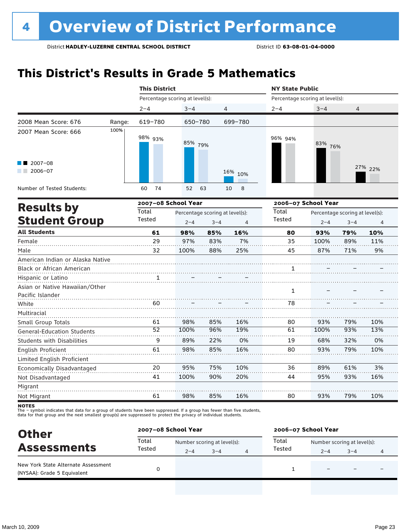### **This District's Results in Grade 5 Mathematics**

|                                                               | <b>This District</b>            |                                 |         |                | <b>NY State Public</b>          |                     |                                 |                |  |  |
|---------------------------------------------------------------|---------------------------------|---------------------------------|---------|----------------|---------------------------------|---------------------|---------------------------------|----------------|--|--|
|                                                               | Percentage scoring at level(s): |                                 |         |                | Percentage scoring at level(s): |                     |                                 |                |  |  |
|                                                               | $2 - 4$                         | $3 - 4$                         | 4       |                | $2 - 4$                         | $3 - 4$             | 4                               |                |  |  |
| 2008 Mean Score: 676<br>Range:                                | 619-780                         | 650-780                         |         | 699-780        |                                 |                     |                                 |                |  |  |
| 100%<br>2007 Mean Score: 666                                  | 98% 93%                         | 85% 79%                         |         |                | 96% 94%                         | 83%<br>76%          |                                 |                |  |  |
| 2007-08<br>$2006 - 07$                                        |                                 |                                 |         | 16% 10%        |                                 |                     |                                 | 27% 22%        |  |  |
| Number of Tested Students:                                    | 74<br>60                        | 52                              | 63      | 8<br>10        |                                 |                     |                                 |                |  |  |
| <b>Results by</b>                                             | 2007-08 School Year             |                                 |         |                |                                 | 2006-07 School Year |                                 |                |  |  |
|                                                               | Total                           | Percentage scoring at level(s): |         |                | Total                           |                     | Percentage scoring at level(s): |                |  |  |
| <b>Student Group</b>                                          | Tested                          | $2 - 4$                         | $3 - 4$ | $\overline{4}$ | Tested                          | $2 - 4$             | $3 - 4$                         | $\overline{4}$ |  |  |
| <b>All Students</b>                                           | 61                              | 98%                             | 85%     | 16%            | 80                              | 93%                 | 79%                             | 10%            |  |  |
| Female                                                        | 29                              | 97%                             | 83%     | 7%             | 35                              | 100%                | 89%                             | 11%            |  |  |
| Male                                                          | 32                              | 100%                            | 88%     | 25%            | 45                              | 87%                 | 71%                             | 9%             |  |  |
| American Indian or Alaska Native<br>Black or African American |                                 |                                 |         |                | 1                               |                     |                                 |                |  |  |
| Hispanic or Latino                                            |                                 |                                 |         |                |                                 |                     |                                 |                |  |  |
| Asian or Native Hawaiian/Other<br>Pacific Islander            |                                 |                                 |         |                | 1                               |                     |                                 |                |  |  |
| White                                                         | 60                              |                                 |         |                | 78                              |                     |                                 |                |  |  |
| Multiracial                                                   |                                 |                                 |         |                |                                 |                     |                                 |                |  |  |
| Small Group Totals                                            | 61                              | 98%                             | 85%     | 16%            | 80                              | 93%                 | 79%                             | 10%            |  |  |
| <b>General-Education Students</b>                             | $\overline{52}$                 | 100%                            | 96%     | 19%            | 61                              | 100%                | 93%                             | 13%            |  |  |
| <b>Students with Disabilities</b>                             | 9                               | 89%                             | 22%     | 0%             | 19                              | 68%                 | 32%                             | 0%             |  |  |
| <b>English Proficient</b>                                     | 61                              | 98%                             | 85%     | 16%            | 80                              | 93%                 | 79%                             | 10%            |  |  |
| Limited English Proficient                                    |                                 |                                 |         |                |                                 |                     |                                 |                |  |  |
| Economically Disadvantaged                                    | 20                              | 95%                             | 75%     | 10%            | 36                              | 89%                 | 61%                             | 3%             |  |  |
| Not Disadvantaged                                             | 41                              | 100%                            | 90%     | 20%            | 44                              | 95%                 | 93%                             | 16%            |  |  |
| Migrant                                                       |                                 |                                 |         |                |                                 |                     |                                 |                |  |  |
| Not Migrant                                                   | 61                              | 98%                             | 85%     | 16%            | 80                              | 93%                 | 79%                             | 10%            |  |  |

**NOTES** 

The – symbol indicates that data for a group of students have been suppressed. If a group has fewer than five students,<br>data for that group and the next smallest group(s) are suppressed to protect the privacy of individual

| <b>Other</b>                                                       |        | 2007-08 School Year         |         |  | 2006-07 School Year |                             |         |   |  |
|--------------------------------------------------------------------|--------|-----------------------------|---------|--|---------------------|-----------------------------|---------|---|--|
| <b>Assessments</b>                                                 | Total  | Number scoring at level(s): |         |  | Total               | Number scoring at level(s): |         |   |  |
|                                                                    | Tested | $2 - 4$                     | $3 - 4$ |  | Tested              | $2 - 4$                     | $3 - 4$ | 4 |  |
| New York State Alternate Assessment<br>(NYSAA): Grade 5 Equivalent |        |                             |         |  |                     |                             |         |   |  |
|                                                                    |        |                             |         |  |                     |                             |         |   |  |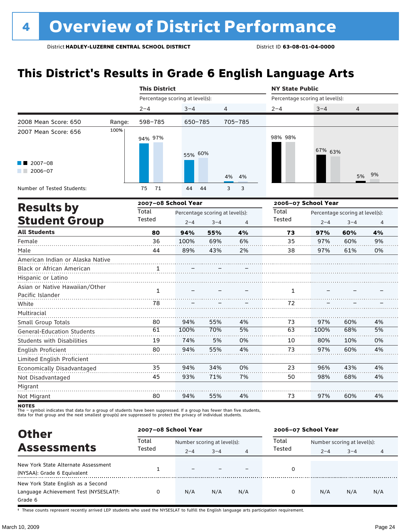### **This District's Results in Grade 6 English Language Arts**

|                                                    |        | <b>This District</b>            |         |                                            |          | <b>NY State Public</b> |                                 |                                            |    |  |
|----------------------------------------------------|--------|---------------------------------|---------|--------------------------------------------|----------|------------------------|---------------------------------|--------------------------------------------|----|--|
|                                                    |        | Percentage scoring at level(s): |         |                                            |          |                        | Percentage scoring at level(s): |                                            |    |  |
|                                                    |        | $2 - 4$                         | $3 - 4$ |                                            | 4        | $2 - 4$                | $3 - 4$                         | 4                                          |    |  |
| 2008 Mean Score: 650                               | Range: | 598-785                         | 650-785 |                                            | 705-785  |                        |                                 |                                            |    |  |
| 2007 Mean Score: 656                               | 100%   | 94% 97%                         | 55% 60% |                                            |          | 98% 98%                | 67% 63%                         |                                            |    |  |
| $2007 - 08$<br>2006-07<br>a sa Bala                |        |                                 |         |                                            | 4%<br>4% |                        |                                 | 5%                                         | 9% |  |
| Number of Tested Students:                         |        | 71<br>75                        | 44      | 44                                         | 3<br>3   |                        |                                 |                                            |    |  |
| <b>Results by</b>                                  |        | 2007-08 School Year             |         |                                            |          |                        | 2006-07 School Year             |                                            |    |  |
| <b>Student Group</b>                               |        | Total<br>Tested                 | $2 - 4$ | Percentage scoring at level(s):<br>$3 - 4$ | 4        | Total<br><b>Tested</b> | $2 - 4$                         | Percentage scoring at level(s):<br>$3 - 4$ | 4  |  |
| <b>All Students</b>                                |        | 80                              | 94%     | 55%                                        | 4%       | 73                     | 97%                             | 60%                                        | 4% |  |
| Female                                             |        | 36                              | 100%    | 69%                                        | 6%       | 35                     | 97%                             | 60%                                        | 9% |  |
| Male                                               |        | 44                              | 89%     | 43%                                        | 2%       | 38                     | 97%                             | 61%                                        | 0% |  |
| American Indian or Alaska Native                   |        |                                 |         |                                            |          |                        |                                 |                                            |    |  |
| Black or African American                          |        | 1                               |         |                                            |          |                        |                                 |                                            |    |  |
| Hispanic or Latino                                 |        |                                 |         |                                            |          |                        |                                 |                                            |    |  |
| Asian or Native Hawaiian/Other<br>Pacific Islander |        | $\mathbf{1}$                    |         |                                            |          | $\mathbf{1}$           |                                 |                                            |    |  |
| White                                              |        | 78                              |         |                                            |          | 72                     |                                 |                                            |    |  |
| Multiracial                                        |        |                                 |         |                                            |          |                        |                                 |                                            |    |  |
| Small Group Totals                                 |        | 80                              | 94%     | 55%                                        | 4%       | 73                     | 97%                             | 60%                                        | 4% |  |
| <b>General-Education Students</b>                  |        | 61                              | 100%    | 70%                                        | 5%       | 63                     | 100%                            | 68%                                        | 5% |  |
| <b>Students with Disabilities</b>                  |        | 19                              | 74%     | 5%                                         | 0%       | 10                     | 80%                             | 10%                                        | 0% |  |
| English Proficient                                 |        | 80                              | 94%     | 55%                                        | 4%       | 73                     | 97%                             | 60%                                        | 4% |  |
| Limited English Proficient                         |        |                                 |         |                                            |          |                        |                                 |                                            |    |  |
| Economically Disadvantaged                         |        | 35                              | 94%     | 34%                                        | 0%       | 23                     | 96%                             | 43%                                        | 4% |  |
| Not Disadvantaged                                  |        | 45                              | 93%     | 71%                                        | 7%       | 50                     | 98%                             | 68%                                        | 4% |  |
| Migrant                                            |        |                                 |         |                                            |          |                        |                                 |                                            |    |  |
| Not Migrant                                        |        | 80                              | 94%     | 55%                                        | 4%       | 73                     | 97%                             | 60%                                        | 4% |  |

**NOTES** 

The – symbol indicates that data for a group of students have been suppressed. If a group has fewer than five students,<br>data for that group and the next smallest group(s) are suppressed to protect the privacy of individual

| <b>Other</b>                           |                 | 2007-08 School Year         |         |     | 2006-07 School Year |                             |         |     |
|----------------------------------------|-----------------|-----------------------------|---------|-----|---------------------|-----------------------------|---------|-----|
| <b>Assessments</b>                     | Total<br>Tested | Number scoring at level(s): |         |     | Total               | Number scoring at level(s): |         |     |
|                                        |                 | $2 - 4$                     | $3 - 4$ | 4   | Tested              | $2 - 4$                     | $3 - 4$ | 4   |
| New York State Alternate Assessment    |                 | $\overline{\phantom{0}}$    |         |     |                     |                             |         |     |
| (NYSAA): Grade 6 Equivalent            |                 |                             |         |     | 0                   |                             |         |     |
| New York State English as a Second     |                 |                             |         |     |                     |                             |         |     |
| Language Achievement Test (NYSESLAT)t: | 0               | N/A                         | N/A     | N/A | 0                   | N/A                         | N/A     | N/A |
| Grade 6                                |                 |                             |         |     |                     |                             |         |     |

† These counts represent recently arrived LEP students who used the NYSESLAT to fulfill the English language arts participation requirement.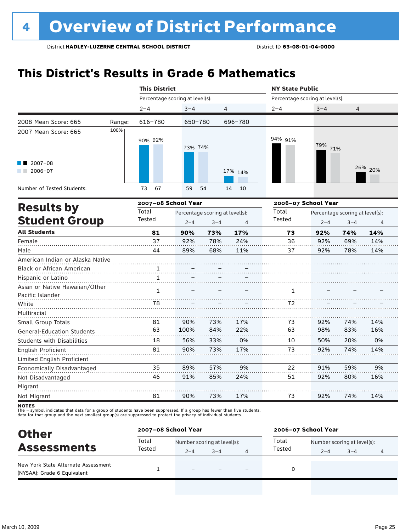### **This District's Results in Grade 6 Mathematics**

|                                                           |        | <b>This District</b> |                                 |          | <b>NY State Public</b>                   |                                 |         |  |  |  |
|-----------------------------------------------------------|--------|----------------------|---------------------------------|----------|------------------------------------------|---------------------------------|---------|--|--|--|
|                                                           |        |                      | Percentage scoring at level(s): |          |                                          | Percentage scoring at level(s): |         |  |  |  |
|                                                           |        | $2 - 4$              | $3 - 4$                         | 4        | $2 - 4$                                  | $3 - 4$                         | 4       |  |  |  |
| 2008 Mean Score: 665                                      | Range: | 616-780              | 650-780                         | 696-780  |                                          |                                 |         |  |  |  |
| 2007 Mean Score: 665<br>$\blacksquare$ 2007-08<br>2006-07 | 100%   | 90% 92%              | 73% 74%                         | 17% 14%  | 94% 91%                                  | 79%<br>71%                      | 26% 20% |  |  |  |
| Number of Tested Students:                                |        | 67<br>73             | 59<br>- 54                      | 14<br>10 |                                          |                                 |         |  |  |  |
|                                                           |        | 2007-08 School Year  |                                 |          |                                          | 2006-07 School Year             |         |  |  |  |
| <b>Results by</b>                                         |        | Total                | Percentage scoring at levells). |          | Total<br>Dercentage scoring at levells). |                                 |         |  |  |  |

|    | $2 - 4$              | $3 - 4$ | 4   |                                 | $2 - 4$              | $3 - 4$ | $\overline{4}$                  |
|----|----------------------|---------|-----|---------------------------------|----------------------|---------|---------------------------------|
| 81 | 90%                  | 73%     | 17% | 73                              | 92%                  | 74%     | 14%                             |
| 37 | 92%                  | 78%     | 24% | 36                              | 92%                  | 69%     | 14%                             |
| 44 | 89%                  | 68%     | 11% | 37                              | 92%                  | 78%     | 14%                             |
|    |                      |         |     |                                 |                      |         |                                 |
|    |                      |         |     |                                 |                      |         |                                 |
| 1  |                      |         |     |                                 |                      |         |                                 |
|    |                      |         |     |                                 |                      |         |                                 |
|    |                      |         |     |                                 |                      |         |                                 |
| 78 |                      |         |     | 72                              |                      |         |                                 |
|    |                      |         |     |                                 |                      |         |                                 |
| 81 | 90%                  | 73%     | 17% | 73                              | 92%                  | 74%     | 14%                             |
| 63 | 100%                 | 84%     | 22% | 63                              | 98%                  | 83%     | 16%                             |
| 18 | 56%                  | 33%     | 0%  | 10                              | 50%                  | 20%     | 0%                              |
| 81 | 90%                  | 73%     | 17% | 73                              | 92%                  | 74%     | 14%                             |
|    |                      |         |     |                                 |                      |         |                                 |
| 35 | 89%                  | 57%     | 9%  | 22                              | 91%                  | 59%     | 9%                              |
| 46 | 91%                  | 85%     | 24% | 51                              | 92%                  | 80%     | 16%                             |
|    |                      |         |     |                                 |                      |         |                                 |
| 81 | 90%                  | 73%     | 17% | 73                              | 92%                  | 74%     | 14%                             |
|    | Total<br>Tested<br>1 |         |     | Percentage scoring at level(s): | Total<br>Tested<br>1 |         | Percentage scoring at level(s): |

**NOTES** 

The – symbol indicates that data for a group of students have been suppressed. If a group has fewer than five students,<br>data for that group and the next smallest group(s) are suppressed to protect the privacy of individual

| <b>Other</b>                                                       | 2007-08 School Year |                             |         |  | 2006-07 School Year |                             |         |   |
|--------------------------------------------------------------------|---------------------|-----------------------------|---------|--|---------------------|-----------------------------|---------|---|
| <b>Assessments</b>                                                 | Total<br>Tested     | Number scoring at level(s): |         |  | Total               | Number scoring at level(s): |         |   |
|                                                                    |                     | $2 - 4$                     | $3 - 4$ |  | Tested              | $2 - 4$                     | $3 - 4$ | 4 |
| New York State Alternate Assessment<br>(NYSAA): Grade 6 Equivalent |                     | $\equiv$                    |         |  |                     |                             |         |   |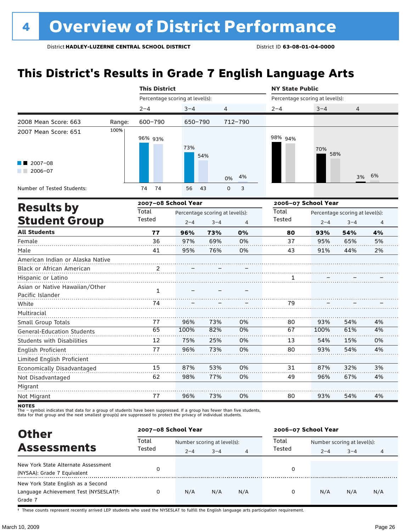### **This District's Results in Grade 7 English Language Arts**

|                                                    |        | <b>This District</b>            |         |                                            |                  | <b>NY State Public</b> |                                 |                                            |                |  |
|----------------------------------------------------|--------|---------------------------------|---------|--------------------------------------------|------------------|------------------------|---------------------------------|--------------------------------------------|----------------|--|
|                                                    |        | Percentage scoring at level(s): |         |                                            |                  |                        | Percentage scoring at level(s): |                                            |                |  |
|                                                    |        | $2 - 4$                         | $3 - 4$ |                                            | 4                | $2 - 4$                | $3 - 4$                         | 4                                          |                |  |
| 2008 Mean Score: 663                               | Range: | 600-790                         | 650-790 |                                            | 712-790          |                        |                                 |                                            |                |  |
| 2007 Mean Score: 651                               | 100%   | 96% 93%                         | 73%     | 54%                                        |                  | 98% 94%                | 70%<br>58%                      |                                            |                |  |
| $\blacksquare$ 2007-08<br>$\blacksquare$ 2006-07   |        |                                 |         |                                            | 4%<br>0%         |                        |                                 | 3%                                         | 6%             |  |
| Number of Tested Students:                         |        | 74<br>74                        | 56      | 43                                         | $\mathbf 0$<br>3 |                        |                                 |                                            |                |  |
|                                                    |        | 2007-08 School Year             |         |                                            |                  |                        | 2006-07 School Year             |                                            |                |  |
| <b>Results by</b><br><b>Student Group</b>          |        | Total<br>Tested                 | $2 - 4$ | Percentage scoring at level(s):<br>$3 - 4$ | $\overline{4}$   | Total<br>Tested        | $2 - 4$                         | Percentage scoring at level(s):<br>$3 - 4$ | $\overline{4}$ |  |
| <b>All Students</b>                                |        | 77                              | 96%     | 73%                                        | 0%               | 80                     | 93%                             | 54%                                        | 4%             |  |
| Female                                             |        | 36                              | 97%     | 69%                                        | 0%               | 37                     | 95%                             | 65%                                        | 5%             |  |
| Male                                               |        | 41                              | 95%     | 76%                                        | 0%               | 43                     | 91%                             | 44%                                        | 2%             |  |
| American Indian or Alaska Native                   |        |                                 |         |                                            |                  |                        |                                 |                                            |                |  |
| Black or African American                          |        | 2                               |         |                                            |                  |                        |                                 |                                            |                |  |
| Hispanic or Latino                                 |        |                                 |         |                                            |                  | 1                      |                                 |                                            |                |  |
| Asian or Native Hawaiian/Other<br>Pacific Islander |        | $\mathbf{1}$                    |         |                                            |                  |                        |                                 |                                            |                |  |
| White                                              |        | 74                              |         |                                            |                  | 79                     |                                 |                                            |                |  |
| Multiracial                                        |        |                                 |         |                                            |                  |                        |                                 |                                            |                |  |
| Small Group Totals                                 |        | 77                              | 96%     | 73%                                        | 0%               | 80                     | 93%                             | 54%                                        | 4%             |  |
| <b>General-Education Students</b>                  |        | 65                              | 100%    | 82%                                        | 0%               | 67                     | 100%                            | 61%                                        | 4%             |  |
| <b>Students with Disabilities</b>                  |        | 12                              | 75%     | 25%                                        | 0%               | 13                     | 54%                             | 15%                                        | 0%             |  |
| English Proficient                                 |        | 77                              | 96%     | 73%                                        | 0%               | 80                     | 93%                             | 54%                                        | 4%             |  |
| Limited English Proficient                         |        |                                 |         |                                            |                  |                        |                                 |                                            |                |  |
| Economically Disadvantaged                         |        | 15                              | 87%     | 53%                                        | 0%               | 31                     | 87%                             | 32%                                        | 3%             |  |
| Not Disadvantaged                                  |        | 62                              | 98%     | 77%                                        | 0%               | 49                     | 96%                             | 67%                                        | 4%             |  |
| Migrant                                            |        |                                 |         |                                            |                  |                        |                                 |                                            |                |  |
| Not Migrant                                        |        | 77                              | 96%     | 73%                                        | 0%               | 80                     | 93%                             | 54%                                        | 4%             |  |

notes

The – symbol indicates that data for a group of students have been suppressed. If a group has fewer than five students,<br>data for that group and the next smallest group(s) are suppressed to protect the privacy of individual

| <b>Other</b>                                        | 2007-08 School Year |                             |         |     | 2006-07 School Year |                             |         |     |  |
|-----------------------------------------------------|---------------------|-----------------------------|---------|-----|---------------------|-----------------------------|---------|-----|--|
| <b>Assessments</b>                                  | Total               | Number scoring at level(s): |         |     | Total               | Number scoring at level(s): |         |     |  |
|                                                     | Tested              | $2 - 4$                     | $3 - 4$ | 4   | Tested              | $2 - 4$                     | $3 - 4$ | 4   |  |
| New York State Alternate Assessment                 | 0                   |                             |         |     | 0                   |                             |         |     |  |
| (NYSAA): Grade 7 Equivalent                         |                     |                             |         |     |                     |                             |         |     |  |
| New York State English as a Second                  |                     |                             |         |     |                     |                             |         |     |  |
| Language Achievement Test (NYSESLAT) <sup>t</sup> : | 0                   | N/A                         | N/A     | N/A | 0                   | N/A                         | N/A     | N/A |  |
| Grade 7                                             |                     |                             |         |     |                     |                             |         |     |  |

† These counts represent recently arrived LEP students who used the NYSESLAT to fulfill the English language arts participation requirement.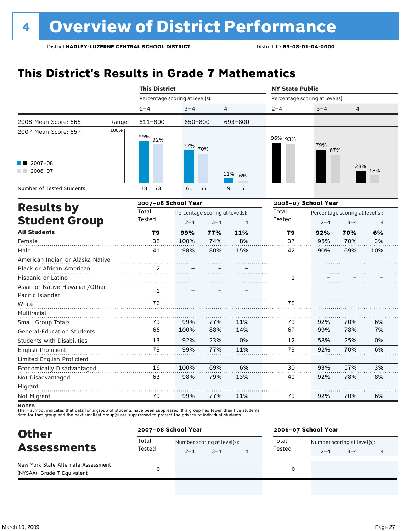### **This District's Results in Grade 7 Mathematics**

|                                                    |        | <b>This District</b>            |         |                                 |           | <b>NY State Public</b>          |            |                                 |     |  |  |
|----------------------------------------------------|--------|---------------------------------|---------|---------------------------------|-----------|---------------------------------|------------|---------------------------------|-----|--|--|
|                                                    |        | Percentage scoring at level(s): |         |                                 |           | Percentage scoring at level(s): |            |                                 |     |  |  |
|                                                    |        | $2 - 4$                         | $3 - 4$ | 4                               |           | $2 - 4$                         | $3 - 4$    | 4                               |     |  |  |
| 2008 Mean Score: 665                               | Range: | 611-800                         | 650-800 |                                 | 693-800   |                                 |            |                                 |     |  |  |
| 2007 Mean Score: 657                               | 100%   | 99% 92%                         | 77% 70% |                                 |           | 96% 93%                         | 79%<br>67% |                                 |     |  |  |
| $2007 - 08$<br>$2006 - 07$                         |        |                                 |         |                                 | 11%<br>6% |                                 |            | 28%                             | 18% |  |  |
| Number of Tested Students:                         |        | 73<br>78                        | 61      | 55                              | 9<br>5    |                                 |            |                                 |     |  |  |
|                                                    |        | 2007-08 School Year             |         |                                 |           | 2006-07 School Year             |            |                                 |     |  |  |
| <b>Results by</b>                                  |        | Total                           |         | Percentage scoring at level(s): |           | Total                           |            | Percentage scoring at level(s): |     |  |  |
| <b>Student Group</b>                               |        | Tested                          | $2 - 4$ | $3 - 4$                         | 4         | Tested                          | $2 - 4$    | $3 - 4$                         | 4   |  |  |
| <b>All Students</b>                                |        | 79                              | 99%     | 77%                             | 11%       | 79                              | 92%        | 70%                             | 6%  |  |  |
| Female                                             |        | 38                              | 100%    | 74%                             | 8%        | 37                              | 95%        | 70%                             | 3%  |  |  |
| Male                                               |        | 41                              | 98%     | 80%                             | 15%       | 42                              | 90%        | 69%                             | 10% |  |  |
| American Indian or Alaska Native                   |        |                                 |         |                                 |           |                                 |            |                                 |     |  |  |
| <b>Black or African American</b>                   |        | 2                               |         |                                 |           |                                 |            |                                 |     |  |  |
| Hispanic or Latino                                 |        |                                 |         |                                 |           |                                 |            |                                 |     |  |  |
| Asian or Native Hawaiian/Other<br>Pacific Islander |        | 1                               |         |                                 |           |                                 |            |                                 |     |  |  |
| White                                              |        | 76                              |         |                                 |           | 78                              |            |                                 |     |  |  |
| Multiracial                                        |        |                                 |         |                                 |           |                                 |            |                                 |     |  |  |
| Small Group Totals                                 |        | 79                              | 99%     | 77%                             | 11%       | 79                              | 92%        | 70%                             | 6%  |  |  |
| <b>General-Education Students</b>                  |        | 66                              | 100%    | 88%                             | 14%       | 67                              | 99%        | 78%                             | 7%  |  |  |
| <b>Students with Disabilities</b>                  |        | 13                              | 92%     | 23%                             | 0%        | 12                              | 58%        | 25%                             | 0%  |  |  |
| <b>English Proficient</b>                          |        | 79                              | 99%     | 77%                             | 11%       | 79                              | 92%        | 70%                             | 6%  |  |  |
| Limited English Proficient                         |        | 16                              | 100%    | 69%                             | 6%        | 30                              | 93%        | 57%                             | 3%  |  |  |
| Economically Disadvantaged                         |        | 63                              | 98%     | 79%                             | 13%       | 49                              | 92%        | 78%                             | 8%  |  |  |
| Not Disadvantaged                                  |        |                                 |         |                                 |           |                                 |            |                                 |     |  |  |
| Migrant                                            |        |                                 |         |                                 |           |                                 |            |                                 |     |  |  |
| Not Migrant                                        |        | 79                              | 99%     | 77%                             | 11%       | 79                              | 92%        | 70%                             | 6%  |  |  |

**NOTES** 

The – symbol indicates that data for a group of students have been suppressed. If a group has fewer than five students,<br>data for that group and the next smallest group(s) are suppressed to protect the privacy of individual

| <b>Other</b>                                                       |                 | 2007-08 School Year         |         |   | 2006-07 School Year |                             |         |   |  |
|--------------------------------------------------------------------|-----------------|-----------------------------|---------|---|---------------------|-----------------------------|---------|---|--|
| <b>Assessments</b>                                                 | Total<br>Tested | Number scoring at level(s): |         |   | Total               | Number scoring at level(s): |         |   |  |
|                                                                    |                 | $2 - 4$                     | $3 - 4$ | 4 | Tested              | $2 - 4$                     | $3 - 4$ | 4 |  |
| New York State Alternate Assessment<br>(NYSAA): Grade 7 Equivalent |                 |                             |         |   | 0                   |                             |         |   |  |
|                                                                    |                 |                             |         |   |                     |                             |         |   |  |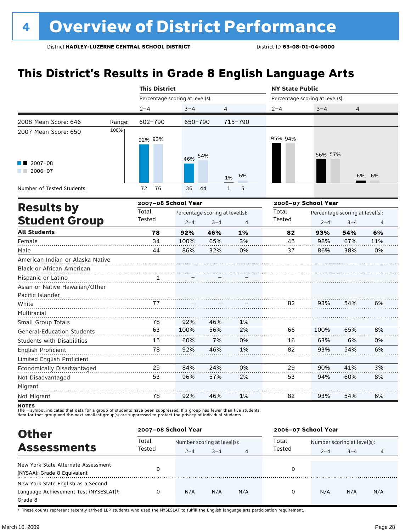### **This District's Results in Grade 8 English Language Arts**

|                                   |        | <b>This District</b>            |         |                                 |                   | <b>NY State Public</b>          |                     |                                 |                |  |
|-----------------------------------|--------|---------------------------------|---------|---------------------------------|-------------------|---------------------------------|---------------------|---------------------------------|----------------|--|
|                                   |        | Percentage scoring at level(s): |         |                                 |                   | Percentage scoring at level(s): |                     |                                 |                |  |
|                                   |        | $2 - 4$                         | $3 - 4$ | 4                               |                   | $2 - 4$                         | $3 - 4$             | 4                               |                |  |
| 2008 Mean Score: 646              | Range: | $602 - 790$                     | 650-790 |                                 | 715-790           |                                 |                     |                                 |                |  |
| 2007 Mean Score: 650              | 100%   | 92% 93%                         | 46%     | 54%                             |                   | 95% 94%                         | 56% 57%             |                                 |                |  |
| $\blacksquare$ 2007-08<br>2006-07 |        |                                 |         |                                 | 6%<br>1%          |                                 |                     | 6%                              | 6%             |  |
| Number of Tested Students:        |        | 76<br>72                        | 36      | 44                              | 5<br>$\mathbf{1}$ |                                 |                     |                                 |                |  |
| <b>Results by</b>                 |        | 2007-08 School Year             |         |                                 |                   |                                 | 2006-07 School Year |                                 |                |  |
|                                   |        | Total                           |         | Percentage scoring at level(s): |                   | Total                           |                     | Percentage scoring at level(s): |                |  |
| <b>Student Group</b>              |        | Tested                          | $2 - 4$ | $3 - 4$                         | 4                 | <b>Tested</b>                   | $2 - 4$             | $3 - 4$                         | $\overline{4}$ |  |
| <b>All Students</b>               |        | 78                              | 92%     | 46%                             | 1%                | 82                              | 93%                 | 54%                             | 6%             |  |
| Female                            |        | 34                              | 100%    | 65%                             | 3%                | 45                              | 98%                 | 67%                             | 11%            |  |
| Male                              |        | 44                              | 86%     | 32%                             | 0%                | 37                              | 86%                 | 38%                             | 0%             |  |
| American Indian or Alaska Native  |        |                                 |         |                                 |                   |                                 |                     |                                 |                |  |
| Black or African American         |        |                                 |         |                                 |                   |                                 |                     |                                 |                |  |
| Hispanic or Latino                |        | 1                               |         |                                 |                   |                                 |                     |                                 |                |  |
| Asian or Native Hawaiian/Other    |        |                                 |         |                                 |                   |                                 |                     |                                 |                |  |
| Pacific Islander                  |        |                                 |         |                                 |                   |                                 |                     |                                 |                |  |
| White                             |        | 77                              |         |                                 |                   | 82                              | 93%                 | 54%                             | 6%             |  |
| Multiracial                       |        |                                 |         |                                 |                   |                                 |                     |                                 |                |  |
| Small Group Totals                |        | 78                              | 92%     | 46%                             | 1%                |                                 |                     |                                 |                |  |
| <b>General-Education Students</b> |        | 63                              | 100%    | 56%                             | 2%                | 66                              | 100%                | 65%                             | 8%             |  |
| Students with Disabilities        |        | 15                              | 60%     | 7%                              | 0%                | 16                              | 63%                 | 6%                              | 0%             |  |
| English Proficient                |        | 78                              | 92%     | 46%                             | 1%                | 82                              | 93%                 | 54%                             | 6%             |  |
| Limited English Proficient        |        |                                 |         |                                 |                   |                                 |                     |                                 |                |  |
| Economically Disadvantaged        |        | 25                              | 84%     | 24%                             | 0%                | 29                              | 90%                 | 41%                             | 3%             |  |
| Not Disadvantaged                 |        | 53                              | 96%     | 57%                             | 2%                | 53                              | 94%                 | 60%                             | 8%             |  |
| Migrant                           |        |                                 |         |                                 |                   |                                 |                     |                                 |                |  |
| Not Migrant                       |        | 78                              | 92%     | 46%                             | 1%                | 82                              | 93%                 | 54%                             | 6%             |  |
|                                   |        |                                 |         |                                 |                   |                                 |                     |                                 |                |  |

notes

The – symbol indicates that data for a group of students have been suppressed. If a group has fewer than five students,<br>data for that group and the next smallest group(s) are suppressed to protect the privacy of individual

| <b>Other</b>                                        | 2007-08 School Year |                             |         |     | 2006-07 School Year |                             |         |     |  |
|-----------------------------------------------------|---------------------|-----------------------------|---------|-----|---------------------|-----------------------------|---------|-----|--|
| <b>Assessments</b>                                  | Total               | Number scoring at level(s): |         |     | Total               | Number scoring at level(s): |         |     |  |
|                                                     | Tested              | $2 - 4$                     | $3 - 4$ | 4   | Tested              | $2 - 4$                     | $3 - 4$ | 4   |  |
| New York State Alternate Assessment                 | 0                   |                             |         |     | 0                   |                             |         |     |  |
| (NYSAA): Grade 8 Equivalent                         |                     |                             |         |     |                     |                             |         |     |  |
| New York State English as a Second                  |                     |                             |         |     |                     |                             |         |     |  |
| Language Achievement Test (NYSESLAT) <sup>t</sup> : | 0                   | N/A                         | N/A     | N/A | 0                   | N/A                         | N/A     | N/A |  |
| Grade 8                                             |                     |                             |         |     |                     |                             |         |     |  |

† These counts represent recently arrived LEP students who used the NYSESLAT to fulfill the English language arts participation requirement.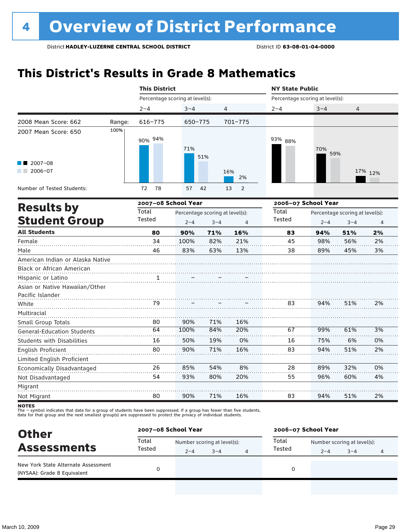### **This District's Results in Grade 8 Mathematics**

|                                                                          |        | <b>This District</b>            |         |                                            |                      | <b>NY State Public</b>          |                     |                                            |                |  |
|--------------------------------------------------------------------------|--------|---------------------------------|---------|--------------------------------------------|----------------------|---------------------------------|---------------------|--------------------------------------------|----------------|--|
|                                                                          |        | Percentage scoring at level(s): |         |                                            |                      | Percentage scoring at level(s): |                     |                                            |                |  |
|                                                                          |        | $2 - 4$                         | $3 - 4$ |                                            | 4                    | $2 - 4$                         | $3 - 4$             | 4                                          |                |  |
| 2008 Mean Score: 662                                                     | Range: | 616-775                         | 650-775 |                                            | 701-775              |                                 |                     |                                            |                |  |
| 2007 Mean Score: 650                                                     | 100%   | 90% 94%                         | 71%     | 51%                                        |                      | 93% 88%                         | 70%<br>59%          |                                            |                |  |
| 2007-08<br>$2006 - 07$                                                   |        |                                 |         |                                            | 16%<br>2%            |                                 |                     |                                            | 17% 12%        |  |
| Number of Tested Students:                                               |        | 78<br>72                        | 57      | 42                                         | 13<br>$\overline{2}$ |                                 |                     |                                            |                |  |
|                                                                          |        | 2007-08 School Year             |         |                                            |                      |                                 | 2006-07 School Year |                                            |                |  |
| <b>Results by</b><br><b>Student Group</b>                                |        | Total<br>Tested                 | $2 - 4$ | Percentage scoring at level(s):<br>$3 - 4$ | $\overline{4}$       | Total<br>Tested                 | $2 - 4$             | Percentage scoring at level(s):<br>$3 - 4$ | $\overline{4}$ |  |
| <b>All Students</b>                                                      |        | 80                              | 90%     | 71%                                        | 16%                  | 83                              | 94%                 | 51%                                        | 2%             |  |
| Female                                                                   |        | 34                              | 100%    | 82%                                        | 21%                  | 45                              | 98%                 | 56%                                        | 2%             |  |
| Male                                                                     |        | 46                              | 83%     | 63%                                        | 13%                  | 38                              | 89%                 | 45%                                        | 3%             |  |
| American Indian or Alaska Native<br>Black or African American            |        |                                 |         |                                            |                      |                                 |                     |                                            |                |  |
| Hispanic or Latino<br>Asian or Native Hawaiian/Other<br>Pacific Islander |        |                                 |         |                                            |                      |                                 |                     |                                            |                |  |
| White                                                                    |        | 79                              |         |                                            |                      | 83                              | 94%                 | 51%                                        | 2%             |  |
| Multiracial                                                              |        |                                 |         |                                            |                      |                                 |                     |                                            |                |  |
| Small Group Totals                                                       |        | 80                              | 90%     | 71%                                        | 16%                  |                                 |                     |                                            |                |  |
| <b>General-Education Students</b>                                        |        | 64                              | 100%    | 84%                                        | 20%                  | 67                              | 99%                 | 61%                                        | 3%             |  |
| <b>Students with Disabilities</b>                                        |        | 16                              | 50%     | 19%                                        | 0%                   | 16                              | 75%                 | 6%                                         | 0%             |  |
| English Proficient                                                       |        | 80                              | 90%     | 71%                                        | 16%                  | 83                              | 94%                 | 51%                                        | 2%             |  |
| Limited English Proficient                                               |        |                                 |         |                                            |                      |                                 |                     |                                            |                |  |
| Economically Disadvantaged                                               |        | 26                              | 85%     | 54%                                        | 8%                   | 28                              | 89%                 | 32%                                        | 0%             |  |
| Not Disadvantaged                                                        |        | 54                              | 93%     | 80%                                        | 20%                  | 55                              | 96%                 | 60%                                        | 4%             |  |
| Migrant                                                                  |        |                                 |         |                                            |                      |                                 |                     |                                            |                |  |
| Not Migrant                                                              |        | 80                              | 90%     | 71%                                        | 16%                  | 83                              | 94%                 | 51%                                        | 2%             |  |

**NOTES** 

The – symbol indicates that data for a group of students have been suppressed. If a group has fewer than five students,<br>data for that group and the next smallest group(s) are suppressed to protect the privacy of individual

| <b>Other</b>                                                       |                 | 2007-08 School Year         |         |   | 2006-07 School Year |                             |         |   |
|--------------------------------------------------------------------|-----------------|-----------------------------|---------|---|---------------------|-----------------------------|---------|---|
| <b>Assessments</b>                                                 | Total<br>Tested | Number scoring at level(s): |         |   | Total               | Number scoring at level(s): |         |   |
|                                                                    |                 | $2 - 4$                     | $3 - 4$ | 4 | Tested              | $2 - 4$                     | $3 - 4$ | 4 |
| New York State Alternate Assessment<br>(NYSAA): Grade 8 Equivalent |                 |                             |         |   | 0                   |                             |         |   |
|                                                                    |                 |                             |         |   |                     |                             |         |   |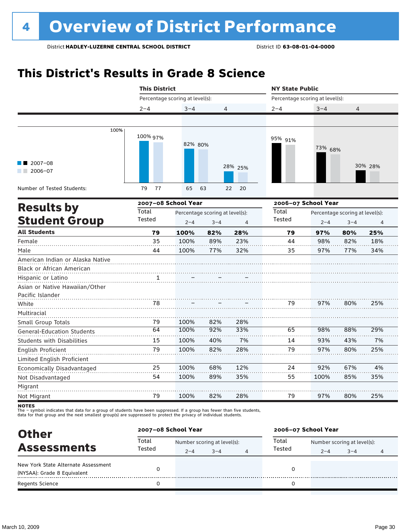### **This District's Results in Grade 8 Science**

|                                       | <b>This District</b> |    |                                 |                                 |                | <b>NY State Public</b>          |                                 |         |                |
|---------------------------------------|----------------------|----|---------------------------------|---------------------------------|----------------|---------------------------------|---------------------------------|---------|----------------|
|                                       |                      |    | Percentage scoring at level(s): |                                 |                | Percentage scoring at level(s): |                                 |         |                |
|                                       | $2 - 4$              |    | $3 - 4$                         |                                 | 4              | $2 - 4$                         | $3 - 4$                         | 4       |                |
|                                       |                      |    |                                 |                                 |                |                                 |                                 |         |                |
| 100%                                  | 100% 97%             |    | 82% 80%                         |                                 |                | 95% 91%                         | 73% 68%                         |         |                |
| $\blacksquare$ 2007-08<br>$2006 - 07$ |                      |    |                                 |                                 | 28% 25%        |                                 |                                 |         | 30% 28%        |
| Number of Tested Students:            | 79                   | 77 | 65                              | 63                              | 20<br>22       |                                 |                                 |         |                |
|                                       | 2007-08 School Year  |    |                                 |                                 |                | 2006-07 School Year             |                                 |         |                |
| <b>Results by</b>                     | Total                |    |                                 | Percentage scoring at level(s): |                | Total                           | Percentage scoring at level(s): |         |                |
| <b>Student Group</b>                  | Tested               |    | $2 - 4$                         | $3 - 4$                         | $\overline{4}$ | Tested                          | $2 - 4$                         | $3 - 4$ | $\overline{4}$ |
| <b>All Students</b>                   | 79                   |    | 100%                            | 82%                             | 28%            | 79                              | 97%                             | 80%     | 25%            |
| Female                                |                      | 35 | 100%                            | 89%                             | 23%            | 44                              | 98%                             | 82%     | 18%            |
| Male                                  |                      | 44 | 100%                            | 77%                             | 32%            | 35                              | 97%                             | 77%     | 34%            |
| American Indian or Alaska Native      |                      |    |                                 |                                 |                |                                 |                                 |         |                |
| Black or African American             |                      |    |                                 |                                 |                |                                 |                                 |         |                |
| Hispanic or Latino                    |                      | 1  |                                 |                                 |                |                                 |                                 |         |                |
| Asian or Native Hawaiian/Other        |                      |    |                                 |                                 |                |                                 |                                 |         |                |
| Pacific Islander                      |                      |    |                                 |                                 |                |                                 |                                 |         |                |
| White                                 |                      | 78 |                                 |                                 |                | 79                              | 97%                             | 80%     | 25%            |
| Multiracial                           |                      |    |                                 |                                 |                |                                 |                                 |         |                |
| Small Group Totals                    |                      | 79 | 100%                            | 82%                             | 28%            |                                 |                                 |         |                |
| <b>General-Education Students</b>     |                      | 64 | 100%                            | 92%                             | 33%            | 65                              | 98%                             | 88%     | 29%            |
| <b>Students with Disabilities</b>     |                      | 15 | 100%                            | 40%                             | 7%             | 14                              | 93%                             | 43%     | 7%             |
| English Proficient                    |                      | 79 | 100%                            | 82%                             | 28%            | 79                              | 97%                             | 80%     | 25%            |
| Limited English Proficient            |                      |    |                                 |                                 |                |                                 |                                 |         |                |
| Economically Disadvantaged            |                      | 25 | 100%                            | 68%                             | 12%            | 24                              | 92%                             | 67%     | 4%             |
| Not Disadvantaged                     |                      | 54 | 100%                            | 89%                             | 35%            | 55                              | 100%                            | 85%     | 35%            |
| Migrant                               |                      |    |                                 |                                 |                |                                 |                                 |         |                |
| Not Migrant                           | 79                   |    | 100%                            | 82%                             | 28%            | 79                              | 97%                             | 80%     | 25%            |
|                                       |                      |    |                                 |                                 |                |                                 |                                 |         |                |

notes

The – symbol indicates that data for a group of students have been suppressed. If a group has fewer than five students,<br>data for that group and the next smallest group(s) are suppressed to protect the privacy of individual

| <b>Other</b><br><b>Assessments</b>                                 |                 | 2007-08 School Year         |         |  | 2006-07 School Year |                             |         |  |  |
|--------------------------------------------------------------------|-----------------|-----------------------------|---------|--|---------------------|-----------------------------|---------|--|--|
|                                                                    | Total<br>Tested | Number scoring at level(s): |         |  | Total               | Number scoring at level(s): |         |  |  |
|                                                                    |                 | $2 - 4$                     | $3 - 4$ |  | Tested              | $2 - 4$                     | $3 - 4$ |  |  |
| New York State Alternate Assessment<br>(NYSAA): Grade 8 Equivalent |                 |                             |         |  |                     |                             |         |  |  |
| <b>Regents Science</b>                                             |                 |                             |         |  |                     |                             |         |  |  |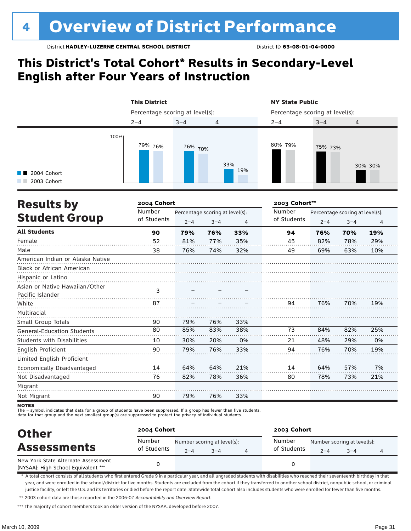### **This District's Total Cohort\* Results in Secondary-Level English after Four Years of Instruction**

|                                             | <b>This District</b>            |         |                | <b>NY State Public</b><br>Percentage scoring at level(s): |         |                |  |
|---------------------------------------------|---------------------------------|---------|----------------|-----------------------------------------------------------|---------|----------------|--|
|                                             | Percentage scoring at level(s): |         |                |                                                           |         |                |  |
|                                             | $2 - 4$                         | $3 - 4$ | $\overline{4}$ | $2 - 4$                                                   | $3 - 4$ | $\overline{4}$ |  |
| 100%<br><b>1</b> 2004 Cohort<br>2003 Cohort | 79% <sub>76%</sub>              | 76% 70% | 33%<br>19%     | 80% 79%                                                   | 75% 73% | 30% 30%        |  |

| <b>Results by</b>                 | 2004 Cohort |         |                                 |     | 2003 Cohort** |         |                                 |     |
|-----------------------------------|-------------|---------|---------------------------------|-----|---------------|---------|---------------------------------|-----|
|                                   | Number      |         | Percentage scoring at level(s): |     | Number        |         | Percentage scoring at level(s): |     |
| <b>Student Group</b>              | of Students | $2 - 4$ | $3 - 4$                         | 4   | of Students   | $2 - 4$ | $3 - 4$                         | 4   |
| <b>All Students</b>               | 90          | 79%     | 76%                             | 33% | 94            | 76%     | 70%                             | 19% |
| Female                            | 52          | 81%     | 77%                             | 35% | 45            | 82%     | 78%                             | 29% |
| Male                              | 38          | 76%     | 74%                             | 32% | 49            | 69%     | 63%                             | 10% |
| American Indian or Alaska Native  |             |         |                                 |     |               |         |                                 |     |
| <b>Black or African American</b>  |             |         |                                 |     |               |         |                                 |     |
| Hispanic or Latino                |             |         |                                 |     |               |         |                                 |     |
| Asian or Native Hawaiian/Other    |             |         |                                 |     |               |         |                                 |     |
| Pacific Islander                  | 3           |         |                                 |     |               |         |                                 |     |
| White                             | 87          |         |                                 |     | 94            | 76%     | 70%                             | 19% |
| Multiracial                       |             |         |                                 |     |               |         |                                 |     |
| Small Group Totals                | 90          | 79%     | 76%                             | 33% |               |         |                                 |     |
| <b>General-Education Students</b> | 80          | 85%     | 83%                             | 38% | 73            | 84%     | 82%                             | 25% |
| <b>Students with Disabilities</b> | 10          | 30%     | 20%                             | 0%  | 21            | 48%     | 29%                             | 0%  |
| English Proficient                | 90          | 79%     | 76%                             | 33% | 94            | 76%     | 70%                             | 19% |
| Limited English Proficient        |             |         |                                 |     |               |         |                                 |     |
| Economically Disadvantaged        | 14          | 64%     | 64%                             | 21% | 14            | 64%     | 57%                             | 7%  |
| Not Disadvantaged                 | 76          | 82%     | 78%                             | 36% | 80            | 78%     | 73%                             | 21% |
| Migrant                           |             |         |                                 |     |               |         |                                 |     |
| Not Migrant                       | 90          | 79%     | 76%                             | 33% |               |         |                                 |     |

**NOTES** 

The – symbol indicates that data for a group of students have been suppressed. If a group has fewer than five students,<br>data for that group and the next smallest group(s) are suppressed to protect the privacy of individual

| <b>Other</b><br><b>Assessments</b>                                         | 2004 Cohort           |         |                                        | 2003 Cohort |                       |         |                                        |  |  |
|----------------------------------------------------------------------------|-----------------------|---------|----------------------------------------|-------------|-----------------------|---------|----------------------------------------|--|--|
|                                                                            | Number<br>of Students | $2 - 4$ | Number scoring at level(s):<br>$3 - 4$ |             | Number<br>of Students | $2 - 4$ | Number scoring at level(s):<br>$3 - 4$ |  |  |
| New York State Alternate Assessment<br>(NYSAA): High School Equivalent *** |                       |         |                                        |             |                       |         |                                        |  |  |

\* A total cohort consists of all students who first entered Grade 9 in a particular year, and all ungraded students with disabilities who reached their seventeenth birthday in that year, and were enrolled in the school/district for five months. Students are excluded from the cohort if they transferred to another school district, nonpublic school, or criminal justice facility, or left the U.S. and its territories or died before the report date. Statewide total cohort also includes students who were enrolled for fewer than five months.

\*\* 2003 cohort data are those reported in the 2006-07 *Accountability and Overview Report*.

\*\*\* The majority of cohort members took an older version of the NYSAA, developed before 2007.